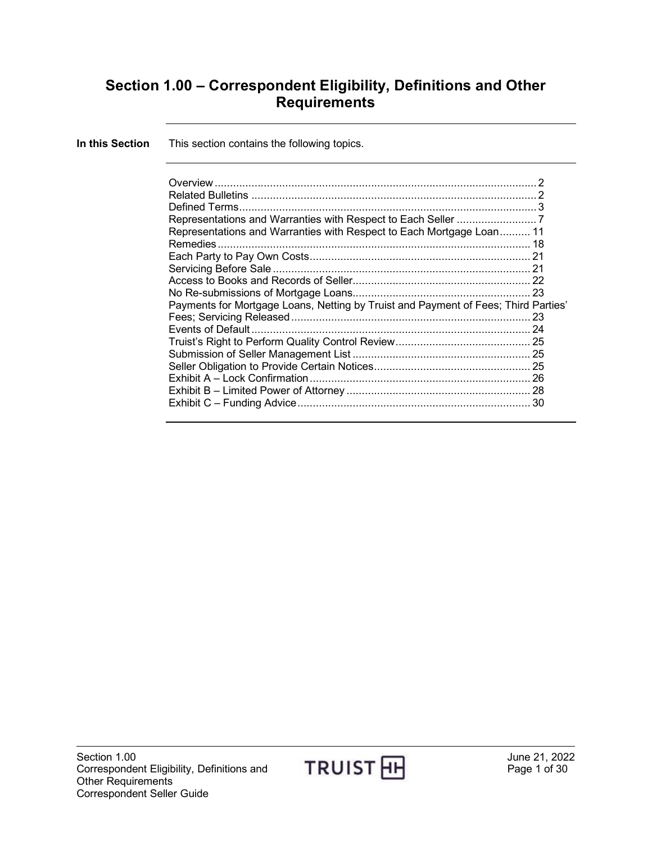# **Section 1.00 – Correspondent Eligibility, Definitions and Other Requirements**

| In this Section | This section contains the following topics.                                        |  |
|-----------------|------------------------------------------------------------------------------------|--|
|                 |                                                                                    |  |
|                 | Defined Terms.                                                                     |  |
|                 |                                                                                    |  |
|                 | Representations and Warranties with Respect to Each Mortgage Loan 11               |  |
|                 |                                                                                    |  |
|                 |                                                                                    |  |
|                 |                                                                                    |  |
|                 | Payments for Mortgage Loans, Netting by Truist and Payment of Fees; Third Parties' |  |
|                 |                                                                                    |  |
|                 |                                                                                    |  |
|                 |                                                                                    |  |
|                 |                                                                                    |  |
|                 |                                                                                    |  |
|                 |                                                                                    |  |

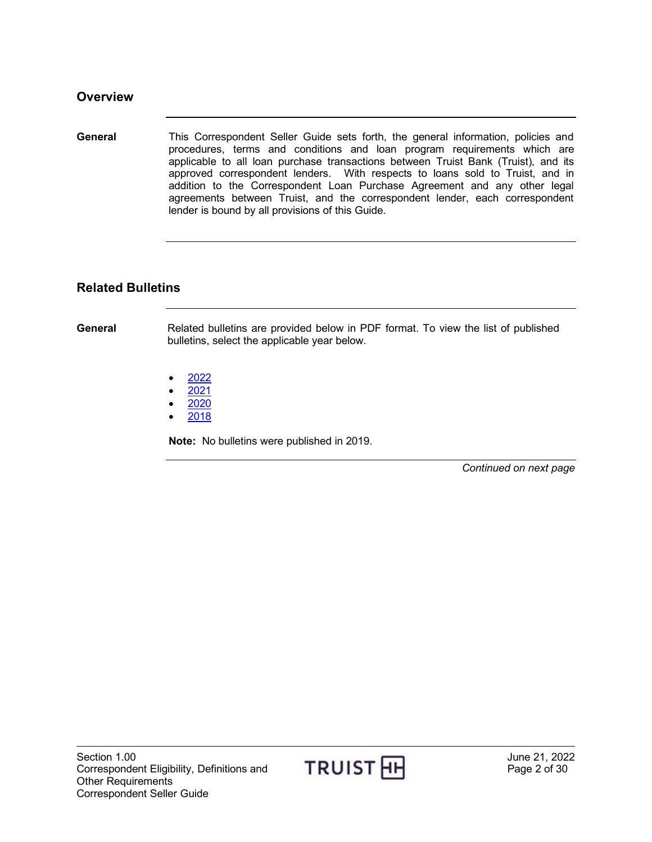<span id="page-1-0"></span>**General** This Correspondent Seller Guide sets forth, the general information, policies and procedures, terms and conditions and loan program requirements which are applicable to all loan purchase transactions between Truist Bank (Truist), and its approved correspondent lenders. With respects to loans sold to Truist, and in addition to the Correspondent Loan Purchase Agreement and any other legal agreements between Truist, and the correspondent lender, each correspondent lender is bound by all provisions of this Guide.

#### <span id="page-1-1"></span>**Related Bulletins**

**General** Related bulletins are provided below in PDF format. To view the list of published bulletins, select the applicable year below.

- [2022](http://www.truistsellerguide.com/manual/cor/bulletins/related%20bulletins/2022/CAgreement2022.pdf)
- [2021](http://www.truistsellerguide.com/manual/cor/bulletins/related%20bulletins/2021/CAgreement2021.pdf)
- [2020](http://www.truistsellerguide.com/manual/cor/bulletins/related%20bulletins/2020/CAgreement2020.pdf)
- [2018](http://www.truistsellerguide.com/manual/cor/bulletins/related%20bulletins/2018/CAgreement2018.pdf)

**Note:** No bulletins were published in 2019.

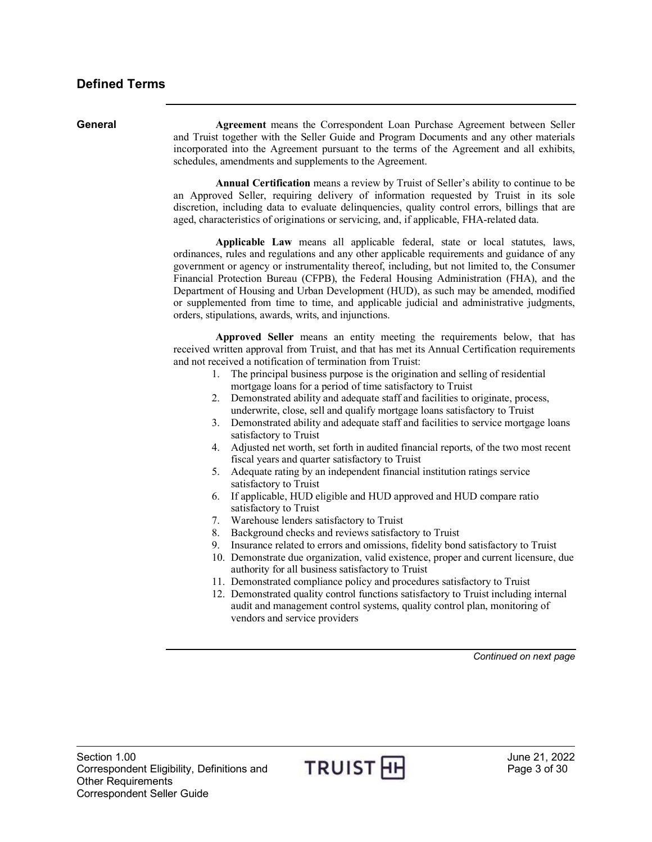<span id="page-2-0"></span>

| General | Agreement means the Correspondent Loan Purchase Agreement between Seller<br>and Truist together with the Seller Guide and Program Documents and any other materials<br>incorporated into the Agreement pursuant to the terms of the Agreement and all exhibits,<br>schedules, amendments and supplements to the Agreement.<br>Annual Certification means a review by Truist of Seller's ability to continue to be<br>an Approved Seller, requiring delivery of information requested by Truist in its sole<br>discretion, including data to evaluate delinquencies, quality control errors, billings that are<br>aged, characteristics of originations or servicing, and, if applicable, FHA-related data.                                                                                                                                                                                                                                                                                                                                                                                                                                                                                                                                                                                                                                                                                                                                                                                                                                                                                                                                                                          |  |  |  |  |  |
|---------|-------------------------------------------------------------------------------------------------------------------------------------------------------------------------------------------------------------------------------------------------------------------------------------------------------------------------------------------------------------------------------------------------------------------------------------------------------------------------------------------------------------------------------------------------------------------------------------------------------------------------------------------------------------------------------------------------------------------------------------------------------------------------------------------------------------------------------------------------------------------------------------------------------------------------------------------------------------------------------------------------------------------------------------------------------------------------------------------------------------------------------------------------------------------------------------------------------------------------------------------------------------------------------------------------------------------------------------------------------------------------------------------------------------------------------------------------------------------------------------------------------------------------------------------------------------------------------------------------------------------------------------------------------------------------------------|--|--|--|--|--|
|         |                                                                                                                                                                                                                                                                                                                                                                                                                                                                                                                                                                                                                                                                                                                                                                                                                                                                                                                                                                                                                                                                                                                                                                                                                                                                                                                                                                                                                                                                                                                                                                                                                                                                                     |  |  |  |  |  |
|         | Applicable Law means all applicable federal, state or local statutes, laws,<br>ordinances, rules and regulations and any other applicable requirements and guidance of any<br>government or agency or instrumentality thereof, including, but not limited to, the Consumer<br>Financial Protection Bureau (CFPB), the Federal Housing Administration (FHA), and the<br>Department of Housing and Urban Development (HUD), as such may be amended, modified<br>or supplemented from time to time, and applicable judicial and administrative judgments,<br>orders, stipulations, awards, writs, and injunctions.                                                                                                                                                                                                                                                                                                                                                                                                                                                                                                                                                                                                                                                                                                                                                                                                                                                                                                                                                                                                                                                                     |  |  |  |  |  |
|         | Approved Seller means an entity meeting the requirements below, that has<br>received written approval from Truist, and that has met its Annual Certification requirements<br>and not received a notification of termination from Truist:<br>1. The principal business purpose is the origination and selling of residential<br>mortgage loans for a period of time satisfactory to Truist<br>Demonstrated ability and adequate staff and facilities to originate, process,<br>2.<br>underwrite, close, sell and qualify mortgage loans satisfactory to Truist<br>Demonstrated ability and adequate staff and facilities to service mortgage loans<br>3.<br>satisfactory to Truist<br>Adjusted net worth, set forth in audited financial reports, of the two most recent<br>4.<br>fiscal years and quarter satisfactory to Truist<br>Adequate rating by an independent financial institution ratings service<br>5.<br>satisfactory to Truist<br>If applicable, HUD eligible and HUD approved and HUD compare ratio<br>6.<br>satisfactory to Truist<br>7. Warehouse lenders satisfactory to Truist<br>8. Background checks and reviews satisfactory to Truist<br>Insurance related to errors and omissions, fidelity bond satisfactory to Truist<br>9.<br>10. Demonstrate due organization, valid existence, proper and current licensure, due<br>authority for all business satisfactory to Truist<br>11. Demonstrated compliance policy and procedures satisfactory to Truist<br>12. Demonstrated quality control functions satisfactory to Truist including internal<br>audit and management control systems, quality control plan, monitoring of<br>vendors and service providers |  |  |  |  |  |
|         | Continued on next page                                                                                                                                                                                                                                                                                                                                                                                                                                                                                                                                                                                                                                                                                                                                                                                                                                                                                                                                                                                                                                                                                                                                                                                                                                                                                                                                                                                                                                                                                                                                                                                                                                                              |  |  |  |  |  |
|         |                                                                                                                                                                                                                                                                                                                                                                                                                                                                                                                                                                                                                                                                                                                                                                                                                                                                                                                                                                                                                                                                                                                                                                                                                                                                                                                                                                                                                                                                                                                                                                                                                                                                                     |  |  |  |  |  |

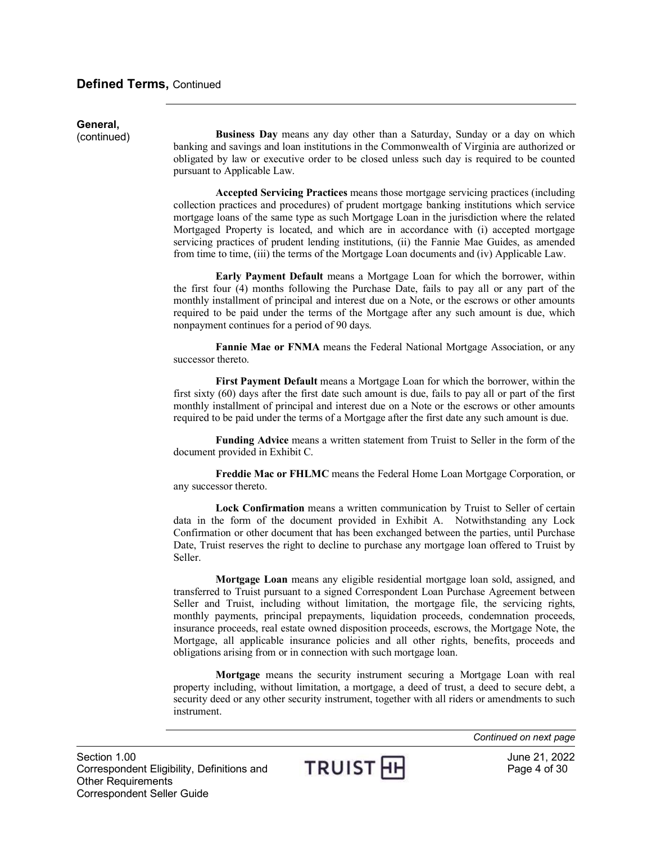# General,<br>(continued)

**Business Day** means any day other than a Saturday, Sunday or a day on which banking and savings and loan institutions in the Commonwealth of Virginia are authorized or obligated by law or executive order to be closed unless such day is required to be counted pursuant to Applicable Law.

**Accepted Servicing Practices** means those mortgage servicing practices (including collection practices and procedures) of prudent mortgage banking institutions which service mortgage loans of the same type as such Mortgage Loan in the jurisdiction where the related Mortgaged Property is located, and which are in accordance with (i) accepted mortgage servicing practices of prudent lending institutions, (ii) the Fannie Mae Guides, as amended from time to time, (iii) the terms of the Mortgage Loan documents and (iv) Applicable Law.

**Early Payment Default** means a Mortgage Loan for which the borrower, within the first four (4) months following the Purchase Date, fails to pay all or any part of the monthly installment of principal and interest due on a Note, or the escrows or other amounts required to be paid under the terms of the Mortgage after any such amount is due, which nonpayment continues for a period of 90 days.

**Fannie Mae or FNMA** means the Federal National Mortgage Association, or any successor thereto.

**First Payment Default** means a Mortgage Loan for which the borrower, within the first sixty (60) days after the first date such amount is due, fails to pay all or part of the first monthly installment of principal and interest due on a Note or the escrows or other amounts required to be paid under the terms of a Mortgage after the first date any such amount is due.

**Funding Advice** means a written statement from Truist to Seller in the form of the document provided in Exhibit C.

**Freddie Mac or FHLMC** means the Federal Home Loan Mortgage Corporation, or any successor thereto.

**Lock Confirmation** means a written communication by Truist to Seller of certain data in the form of the document provided in Exhibit A. Notwithstanding any Lock Confirmation or other document that has been exchanged between the parties, until Purchase Date, Truist reserves the right to decline to purchase any mortgage loan offered to Truist by Seller.

**Mortgage Loan** means any eligible residential mortgage loan sold, assigned, and transferred to Truist pursuant to a signed Correspondent Loan Purchase Agreement between Seller and Truist, including without limitation, the mortgage file, the servicing rights, monthly payments, principal prepayments, liquidation proceeds, condemnation proceeds, insurance proceeds, real estate owned disposition proceeds, escrows, the Mortgage Note, the Mortgage, all applicable insurance policies and all other rights, benefits, proceeds and obligations arising from or in connection with such mortgage loan.

**Mortgage** means the security instrument securing a Mortgage Loan with real property including, without limitation, a mortgage, a deed of trust, a deed to secure debt, a security deed or any other security instrument, together with all riders or amendments to such instrument.

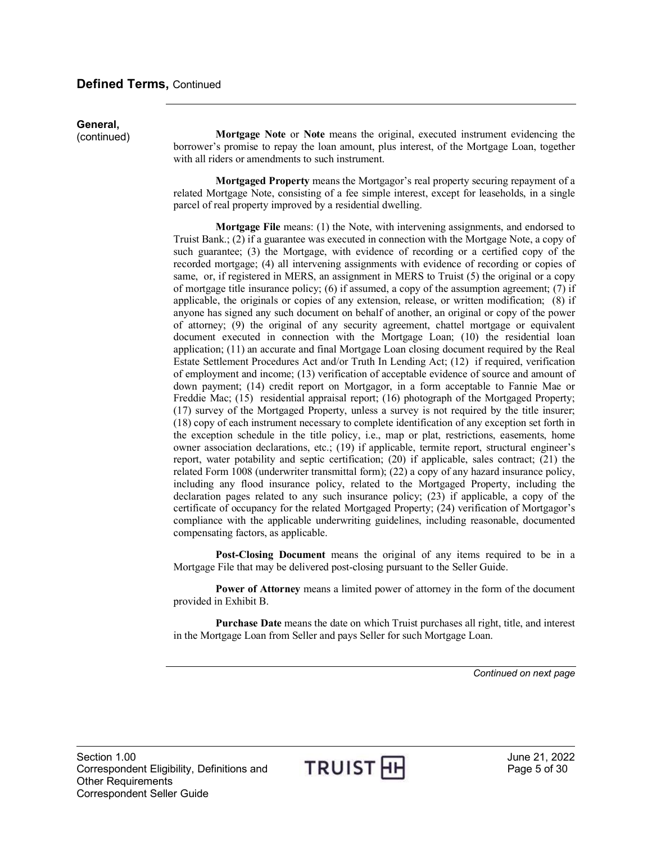# General,<br>(continued)

**Mortgage Note** or **Note** means the original, executed instrument evidencing the borrower's promise to repay the loan amount, plus interest, of the Mortgage Loan, together with all riders or amendments to such instrument.

**Mortgaged Property** means the Mortgagor's real property securing repayment of a related Mortgage Note, consisting of a fee simple interest, except for leaseholds, in a single parcel of real property improved by a residential dwelling.

**Mortgage File** means: (1) the Note, with intervening assignments, and endorsed to Truist Bank.; (2) if a guarantee was executed in connection with the Mortgage Note, a copy of such guarantee; (3) the Mortgage, with evidence of recording or a certified copy of the recorded mortgage; (4) all intervening assignments with evidence of recording or copies of same, or, if registered in MERS, an assignment in MERS to Truist (5) the original or a copy of mortgage title insurance policy; (6) if assumed, a copy of the assumption agreement; (7) if applicable, the originals or copies of any extension, release, or written modification; (8) if anyone has signed any such document on behalf of another, an original or copy of the power of attorney; (9) the original of any security agreement, chattel mortgage or equivalent document executed in connection with the Mortgage Loan; (10) the residential loan application; (11) an accurate and final Mortgage Loan closing document required by the Real Estate Settlement Procedures Act and/or Truth In Lending Act; (12) if required, verification of employment and income; (13) verification of acceptable evidence of source and amount of down payment; (14) credit report on Mortgagor, in a form acceptable to Fannie Mae or Freddie Mac; (15) residential appraisal report; (16) photograph of the Mortgaged Property; (17) survey of the Mortgaged Property, unless a survey is not required by the title insurer; (18) copy of each instrument necessary to complete identification of any exception set forth in the exception schedule in the title policy, i.e., map or plat, restrictions, easements, home owner association declarations, etc.; (19) if applicable, termite report, structural engineer's report, water potability and septic certification; (20) if applicable, sales contract; (21) the related Form 1008 (underwriter transmittal form); (22) a copy of any hazard insurance policy, including any flood insurance policy, related to the Mortgaged Property, including the declaration pages related to any such insurance policy; (23) if applicable, a copy of the certificate of occupancy for the related Mortgaged Property; (24) verification of Mortgagor's compliance with the applicable underwriting guidelines, including reasonable, documented compensating factors, as applicable.

**Post-Closing Document** means the original of any items required to be in a Mortgage File that may be delivered post-closing pursuant to the Seller Guide.

**Power of Attorney** means a limited power of attorney in the form of the document provided in Exhibit B.

**Purchase Date** means the date on which Truist purchases all right, title, and interest in the Mortgage Loan from Seller and pays Seller for such Mortgage Loan.

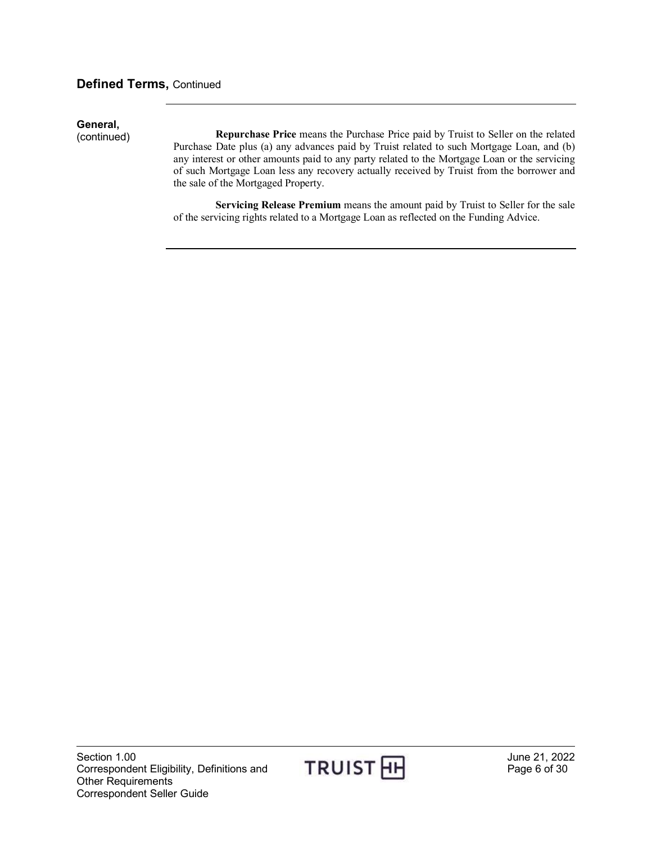#### **Defined Terms,** Continued

# General,<br>(continued)

Repurchase Price means the Purchase Price paid by Truist to Seller on the related Purchase Date plus (a) any advances paid by Truist related to such Mortgage Loan, and (b) any interest or other amounts paid to any party related to the Mortgage Loan or the servicing of such Mortgage Loan less any recovery actually received by Truist from the borrower and the sale of the Mortgaged Property.

**Servicing Release Premium** means the amount paid by Truist to Seller for the sale of the servicing rights related to a Mortgage Loan as reflected on the Funding Advice.

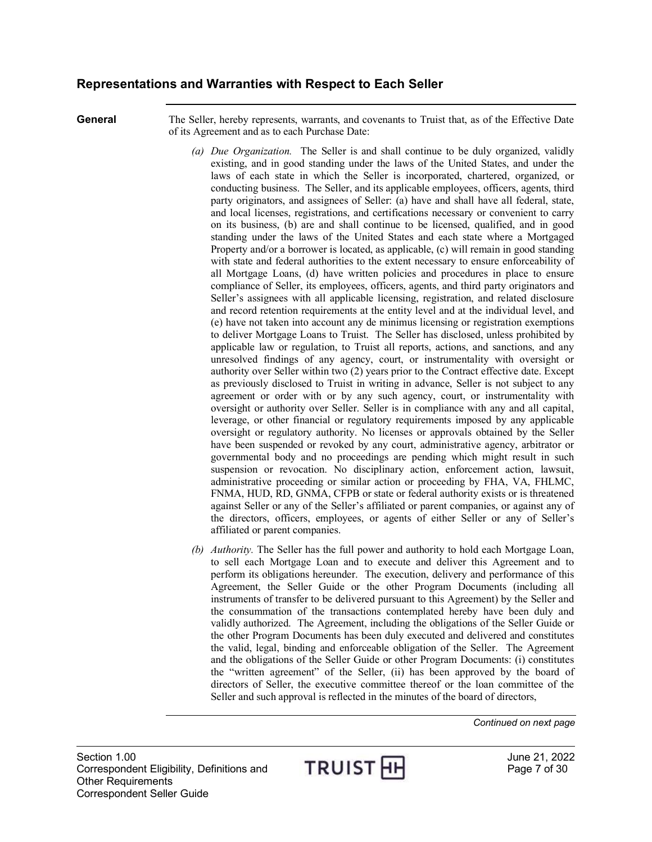#### <span id="page-6-0"></span>**Representations and Warranties with Respect to Each Seller**

**General** The Seller, hereby represents, warrants, and covenants to Truist that, as of the Effective Date of its Agreement and as to each Purchase Date:

- *(a) Due Organization.* The Seller is and shall continue to be duly organized, validly existing, and in good standing under the laws of the United States, and under the laws of each state in which the Seller is incorporated, chartered, organized, or conducting business. The Seller, and its applicable employees, officers, agents, third party originators, and assignees of Seller: (a) have and shall have all federal, state, and local licenses, registrations, and certifications necessary or convenient to carry on its business, (b) are and shall continue to be licensed, qualified, and in good standing under the laws of the United States and each state where a Mortgaged Property and/or a borrower is located, as applicable, (c) will remain in good standing with state and federal authorities to the extent necessary to ensure enforceability of all Mortgage Loans, (d) have written policies and procedures in place to ensure compliance of Seller, its employees, officers, agents, and third party originators and Seller's assignees with all applicable licensing, registration, and related disclosure and record retention requirements at the entity level and at the individual level, and (e) have not taken into account any de minimus licensing or registration exemptions to deliver Mortgage Loans to Truist. The Seller has disclosed, unless prohibited by applicable law or regulation, to Truist all reports, actions, and sanctions, and any unresolved findings of any agency, court, or instrumentality with oversight or authority over Seller within two (2) years prior to the Contract effective date. Except as previously disclosed to Truist in writing in advance, Seller is not subject to any agreement or order with or by any such agency, court, or instrumentality with oversight or authority over Seller. Seller is in compliance with any and all capital, leverage, or other financial or regulatory requirements imposed by any applicable oversight or regulatory authority. No licenses or approvals obtained by the Seller have been suspended or revoked by any court, administrative agency, arbitrator or governmental body and no proceedings are pending which might result in such suspension or revocation. No disciplinary action, enforcement action, lawsuit, administrative proceeding or similar action or proceeding by FHA, VA, FHLMC, FNMA, HUD, RD, GNMA, CFPB or state or federal authority exists or is threatened against Seller or any of the Seller's affiliated or parent companies, or against any of the directors, officers, employees, or agents of either Seller or any of Seller's affiliated or parent companies.
- *(b) Authority.* The Seller has the full power and authority to hold each Mortgage Loan, to sell each Mortgage Loan and to execute and deliver this Agreement and to perform its obligations hereunder. The execution, delivery and performance of this Agreement, the Seller Guide or the other Program Documents (including all instruments of transfer to be delivered pursuant to this Agreement) by the Seller and the consummation of the transactions contemplated hereby have been duly and validly authorized. The Agreement, including the obligations of the Seller Guide or the other Program Documents has been duly executed and delivered and constitutes the valid, legal, binding and enforceable obligation of the Seller. The Agreement and the obligations of the Seller Guide or other Program Documents: (i) constitutes the "written agreement" of the Seller, (ii) has been approved by the board of directors of Seller, the executive committee thereof or the loan committee of the Seller and such approval is reflected in the minutes of the board of directors,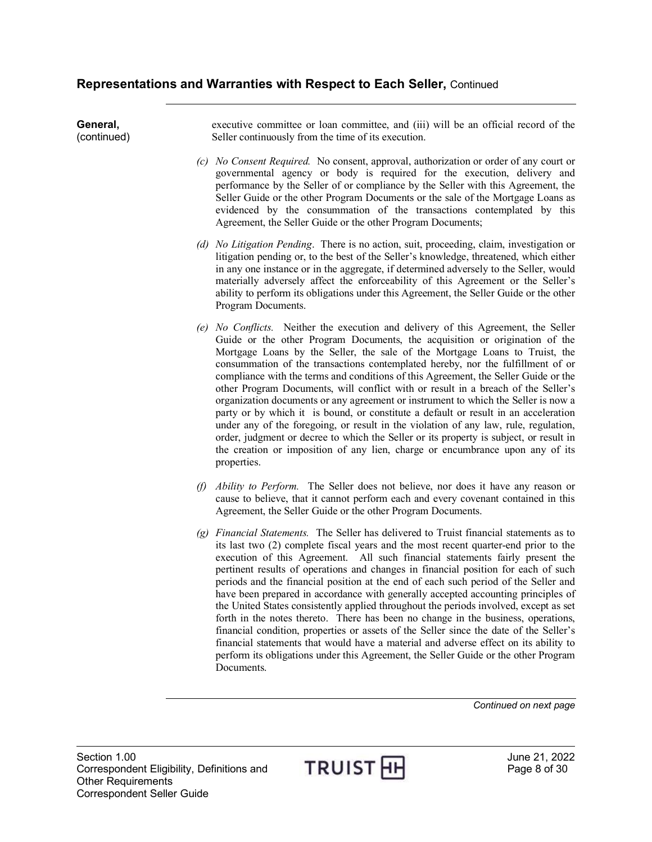**General,**  (continued) executive committee or loan committee, and (iii) will be an official record of the Seller continuously from the time of its execution. *(c) No Consent Required.* No consent, approval, authorization or order of any court or governmental agency or body is required for the execution, delivery and performance by the Seller of or compliance by the Seller with this Agreement, the Seller Guide or the other Program Documents or the sale of the Mortgage Loans as evidenced by the consummation of the transactions contemplated by this Agreement, the Seller Guide or the other Program Documents; *(d) No Litigation Pending*. There is no action, suit, proceeding, claim, investigation or litigation pending or, to the best of the Seller's knowledge, threatened, which either in any one instance or in the aggregate, if determined adversely to the Seller, would materially adversely affect the enforceability of this Agreement or the Seller's ability to perform its obligations under this Agreement, the Seller Guide or the other Program Documents. *(e) No Conflicts.* Neither the execution and delivery of this Agreement, the Seller Guide or the other Program Documents, the acquisition or origination of the Mortgage Loans by the Seller, the sale of the Mortgage Loans to Truist, the consummation of the transactions contemplated hereby, nor the fulfillment of or compliance with the terms and conditions of this Agreement, the Seller Guide or the other Program Documents, will conflict with or result in a breach of the Seller's organization documents or any agreement or instrument to which the Seller is now a party or by which it is bound, or constitute a default or result in an acceleration under any of the foregoing, or result in the violation of any law, rule, regulation, order, judgment or decree to which the Seller or its property is subject, or result in the creation or imposition of any lien, charge or encumbrance upon any of its properties. *(f) Ability to Perform.* The Seller does not believe, nor does it have any reason or cause to believe, that it cannot perform each and every covenant contained in this Agreement, the Seller Guide or the other Program Documents. *(g) Financial Statements.* The Seller has delivered to Truist financial statements as to its last two (2) complete fiscal years and the most recent quarter-end prior to the execution of this Agreement. All such financial statements fairly present the pertinent results of operations and changes in financial position for each of such

periods and the financial position at the end of each such period of the Seller and have been prepared in accordance with generally accepted accounting principles of the United States consistently applied throughout the periods involved, except as set forth in the notes thereto. There has been no change in the business, operations, financial condition, properties or assets of the Seller since the date of the Seller's financial statements that would have a material and adverse effect on its ability to perform its obligations under this Agreement, the Seller Guide or the other Program Documents.

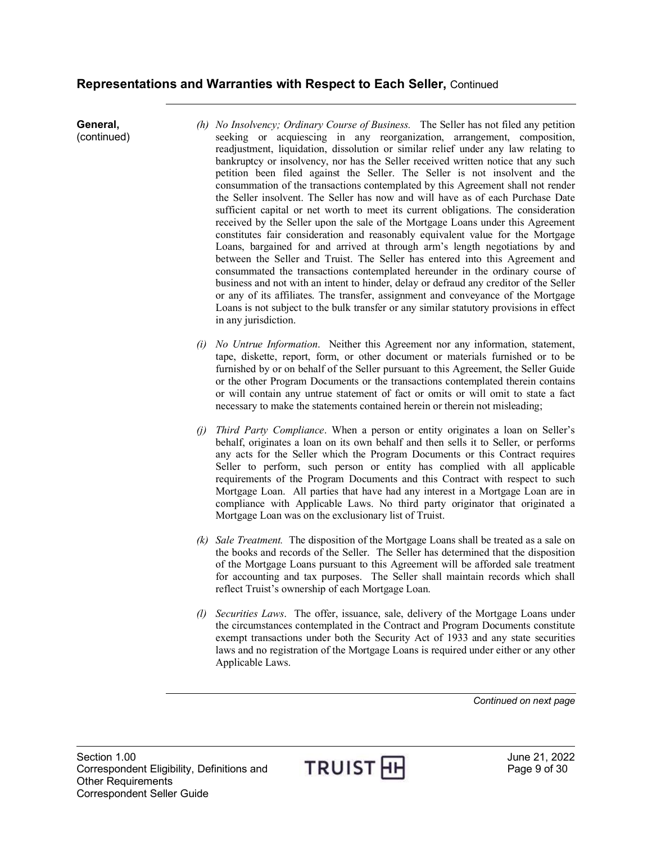#### **Representations and Warranties with Respect to Each Seller,** Continued

**General,**  (continued) *(h) No Insolvency; Ordinary Course of Business.* The Seller has not filed any petition seeking or acquiescing in any reorganization, arrangement, composition, readjustment, liquidation, dissolution or similar relief under any law relating to bankruptcy or insolvency, nor has the Seller received written notice that any such petition been filed against the Seller. The Seller is not insolvent and the consummation of the transactions contemplated by this Agreement shall not render the Seller insolvent. The Seller has now and will have as of each Purchase Date sufficient capital or net worth to meet its current obligations. The consideration received by the Seller upon the sale of the Mortgage Loans under this Agreement constitutes fair consideration and reasonably equivalent value for the Mortgage Loans, bargained for and arrived at through arm's length negotiations by and between the Seller and Truist. The Seller has entered into this Agreement and consummated the transactions contemplated hereunder in the ordinary course of business and not with an intent to hinder, delay or defraud any creditor of the Seller or any of its affiliates. The transfer, assignment and conveyance of the Mortgage Loans is not subject to the bulk transfer or any similar statutory provisions in effect in any jurisdiction.

*(i) No Untrue Information*. Neither this Agreement nor any information, statement, tape, diskette, report, form, or other document or materials furnished or to be furnished by or on behalf of the Seller pursuant to this Agreement, the Seller Guide or the other Program Documents or the transactions contemplated therein contains or will contain any untrue statement of fact or omits or will omit to state a fact necessary to make the statements contained herein or therein not misleading;

- *(j) Third Party Compliance*. When a person or entity originates a loan on Seller's behalf, originates a loan on its own behalf and then sells it to Seller, or performs any acts for the Seller which the Program Documents or this Contract requires Seller to perform, such person or entity has complied with all applicable requirements of the Program Documents and this Contract with respect to such Mortgage Loan. All parties that have had any interest in a Mortgage Loan are in compliance with Applicable Laws. No third party originator that originated a Mortgage Loan was on the exclusionary list of Truist.
- *(k) Sale Treatment.* The disposition of the Mortgage Loans shall be treated as a sale on the books and records of the Seller. The Seller has determined that the disposition of the Mortgage Loans pursuant to this Agreement will be afforded sale treatment for accounting and tax purposes. The Seller shall maintain records which shall reflect Truist's ownership of each Mortgage Loan.
- *(l) Securities Laws*. The offer, issuance, sale, delivery of the Mortgage Loans under the circumstances contemplated in the Contract and Program Documents constitute exempt transactions under both the Security Act of 1933 and any state securities laws and no registration of the Mortgage Loans is required under either or any other Applicable Laws.

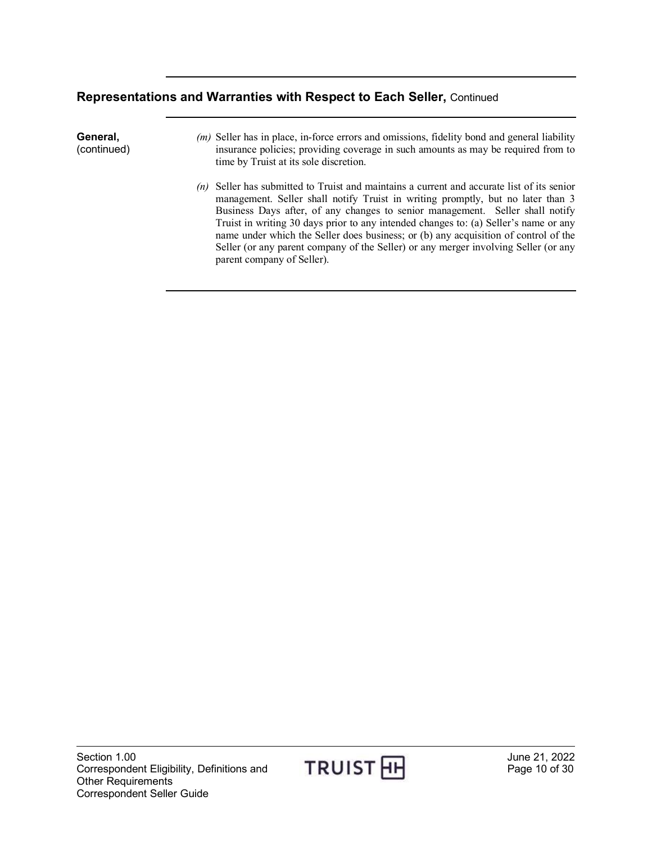#### **Representations and Warranties with Respect to Each Seller,** Continued

**General,**  (continued)

- *(m)* Seller has in place, in-force errors and omissions, fidelity bond and general liability insurance policies; providing coverage in such amounts as may be required from to time by Truist at its sole discretion.
- *(n)* Seller has submitted to Truist and maintains a current and accurate list of its senior management. Seller shall notify Truist in writing promptly, but no later than 3 Business Days after, of any changes to senior management. Seller shall notify Truist in writing 30 days prior to any intended changes to: (a) Seller's name or any name under which the Seller does business; or (b) any acquisition of control of the Seller (or any parent company of the Seller) or any merger involving Seller (or any parent company of Seller).

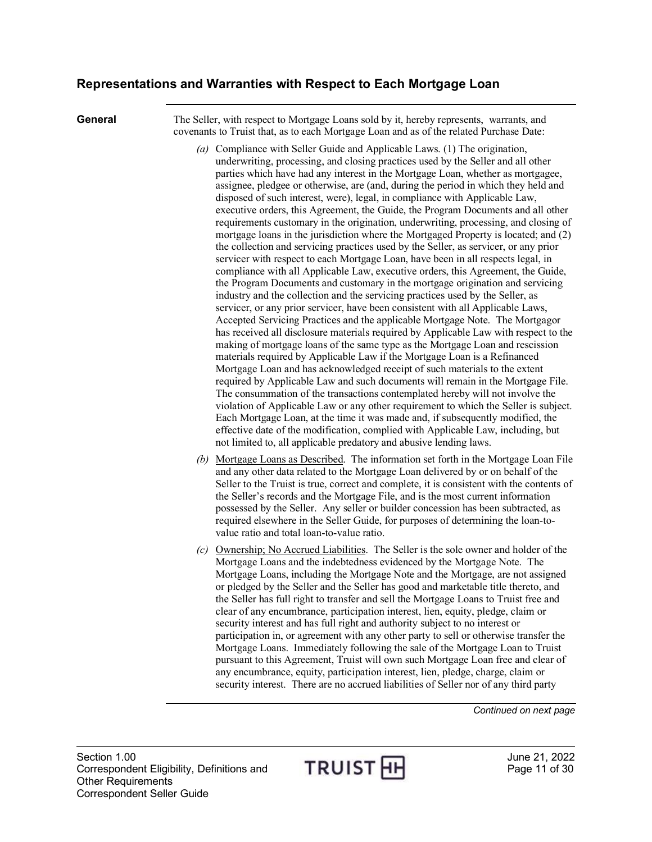<span id="page-10-0"></span>**General** The Seller, with respect to Mortgage Loans sold by it, hereby represents, warrants, and covenants to Truist that, as to each Mortgage Loan and as of the related Purchase Date:

- *(a)* Compliance with Seller Guide and Applicable Laws. (1) The origination, underwriting, processing, and closing practices used by the Seller and all other parties which have had any interest in the Mortgage Loan, whether as mortgagee, assignee, pledgee or otherwise, are (and, during the period in which they held and disposed of such interest, were), legal, in compliance with Applicable Law, executive orders, this Agreement, the Guide, the Program Documents and all other requirements customary in the origination, underwriting, processing, and closing of mortgage loans in the jurisdiction where the Mortgaged Property is located; and (2) the collection and servicing practices used by the Seller, as servicer, or any prior servicer with respect to each Mortgage Loan, have been in all respects legal, in compliance with all Applicable Law, executive orders, this Agreement, the Guide, the Program Documents and customary in the mortgage origination and servicing industry and the collection and the servicing practices used by the Seller, as servicer, or any prior servicer, have been consistent with all Applicable Laws, Accepted Servicing Practices and the applicable Mortgage Note. The Mortgagor has received all disclosure materials required by Applicable Law with respect to the making of mortgage loans of the same type as the Mortgage Loan and rescission materials required by Applicable Law if the Mortgage Loan is a Refinanced Mortgage Loan and has acknowledged receipt of such materials to the extent required by Applicable Law and such documents will remain in the Mortgage File. The consummation of the transactions contemplated hereby will not involve the violation of Applicable Law or any other requirement to which the Seller is subject. Each Mortgage Loan, at the time it was made and, if subsequently modified, the effective date of the modification, complied with Applicable Law, including, but not limited to, all applicable predatory and abusive lending laws.
- *(b)* Mortgage Loans as Described. The information set forth in the Mortgage Loan File and any other data related to the Mortgage Loan delivered by or on behalf of the Seller to the Truist is true, correct and complete, it is consistent with the contents of the Seller's records and the Mortgage File, and is the most current information possessed by the Seller. Any seller or builder concession has been subtracted, as required elsewhere in the Seller Guide, for purposes of determining the loan-tovalue ratio and total loan-to-value ratio.
- *(c)* Ownership; No Accrued Liabilities. The Seller is the sole owner and holder of the Mortgage Loans and the indebtedness evidenced by the Mortgage Note. The Mortgage Loans, including the Mortgage Note and the Mortgage, are not assigned or pledged by the Seller and the Seller has good and marketable title thereto, and the Seller has full right to transfer and sell the Mortgage Loans to Truist free and clear of any encumbrance, participation interest, lien, equity, pledge, claim or security interest and has full right and authority subject to no interest or participation in, or agreement with any other party to sell or otherwise transfer the Mortgage Loans. Immediately following the sale of the Mortgage Loan to Truist pursuant to this Agreement, Truist will own such Mortgage Loan free and clear of any encumbrance, equity, participation interest, lien, pledge, charge, claim or security interest. There are no accrued liabilities of Seller nor of any third party

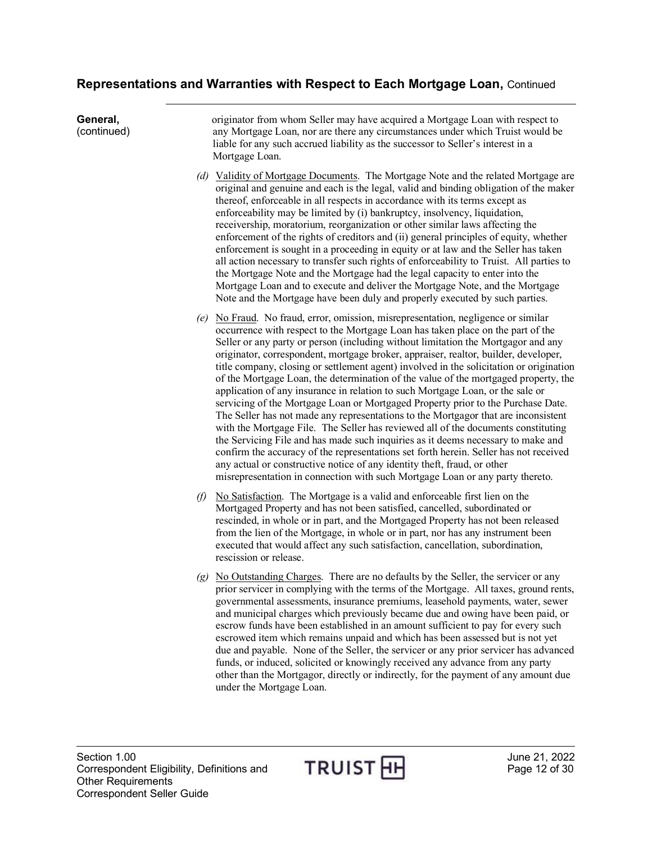| General,<br>(continued) |     | originator from whom Seller may have acquired a Mortgage Loan with respect to<br>any Mortgage Loan, nor are there any circumstances under which Truist would be<br>liable for any such accrued liability as the successor to Seller's interest in a<br>Mortgage Loan.                                                                                                                                                                                                                                                                                                                                                                                                                                                                                                                                                                                                                                                                                                                                                                                                                                                                                                                                                     |
|-------------------------|-----|---------------------------------------------------------------------------------------------------------------------------------------------------------------------------------------------------------------------------------------------------------------------------------------------------------------------------------------------------------------------------------------------------------------------------------------------------------------------------------------------------------------------------------------------------------------------------------------------------------------------------------------------------------------------------------------------------------------------------------------------------------------------------------------------------------------------------------------------------------------------------------------------------------------------------------------------------------------------------------------------------------------------------------------------------------------------------------------------------------------------------------------------------------------------------------------------------------------------------|
|                         |     | (d) Validity of Mortgage Documents. The Mortgage Note and the related Mortgage are<br>original and genuine and each is the legal, valid and binding obligation of the maker<br>thereof, enforceable in all respects in accordance with its terms except as<br>enforceability may be limited by (i) bankruptcy, insolvency, liquidation,<br>receivership, moratorium, reorganization or other similar laws affecting the<br>enforcement of the rights of creditors and (ii) general principles of equity, whether<br>enforcement is sought in a proceeding in equity or at law and the Seller has taken<br>all action necessary to transfer such rights of enforceability to Truist. All parties to<br>the Mortgage Note and the Mortgage had the legal capacity to enter into the<br>Mortgage Loan and to execute and deliver the Mortgage Note, and the Mortgage<br>Note and the Mortgage have been duly and properly executed by such parties.                                                                                                                                                                                                                                                                          |
|                         | (e) | No Fraud. No fraud, error, omission, misrepresentation, negligence or similar<br>occurrence with respect to the Mortgage Loan has taken place on the part of the<br>Seller or any party or person (including without limitation the Mortgagor and any<br>originator, correspondent, mortgage broker, appraiser, realtor, builder, developer,<br>title company, closing or settlement agent) involved in the solicitation or origination<br>of the Mortgage Loan, the determination of the value of the mortgaged property, the<br>application of any insurance in relation to such Mortgage Loan, or the sale or<br>servicing of the Mortgage Loan or Mortgaged Property prior to the Purchase Date.<br>The Seller has not made any representations to the Mortgagor that are inconsistent<br>with the Mortgage File. The Seller has reviewed all of the documents constituting<br>the Servicing File and has made such inquiries as it deems necessary to make and<br>confirm the accuracy of the representations set forth herein. Seller has not received<br>any actual or constructive notice of any identity theft, fraud, or other<br>misrepresentation in connection with such Mortgage Loan or any party thereto. |
|                         | O)  | No Satisfaction. The Mortgage is a valid and enforceable first lien on the<br>Mortgaged Property and has not been satisfied, cancelled, subordinated or<br>rescinded, in whole or in part, and the Mortgaged Property has not been released<br>from the lien of the Mortgage, in whole or in part, nor has any instrument been<br>executed that would affect any such satisfaction, cancellation, subordination,<br>rescission or release.                                                                                                                                                                                                                                                                                                                                                                                                                                                                                                                                                                                                                                                                                                                                                                                |
|                         |     | $(g)$ No Outstanding Charges. There are no defaults by the Seller, the servicer or any<br>prior servicer in complying with the terms of the Mortgage. All taxes, ground rents,<br>governmental assessments, insurance premiums, leasehold payments, water, sewer<br>and municipal charges which previously became due and owing have been paid, or<br>escrow funds have been established in an amount sufficient to pay for every such<br>escrowed item which remains unpaid and which has been assessed but is not yet<br>due and payable. None of the Seller, the servicer or any prior servicer has advanced<br>funds, or induced, solicited or knowingly received any advance from any party<br>other than the Mortgagor, directly or indirectly, for the payment of any amount due<br>under the Mortgage Loan.                                                                                                                                                                                                                                                                                                                                                                                                       |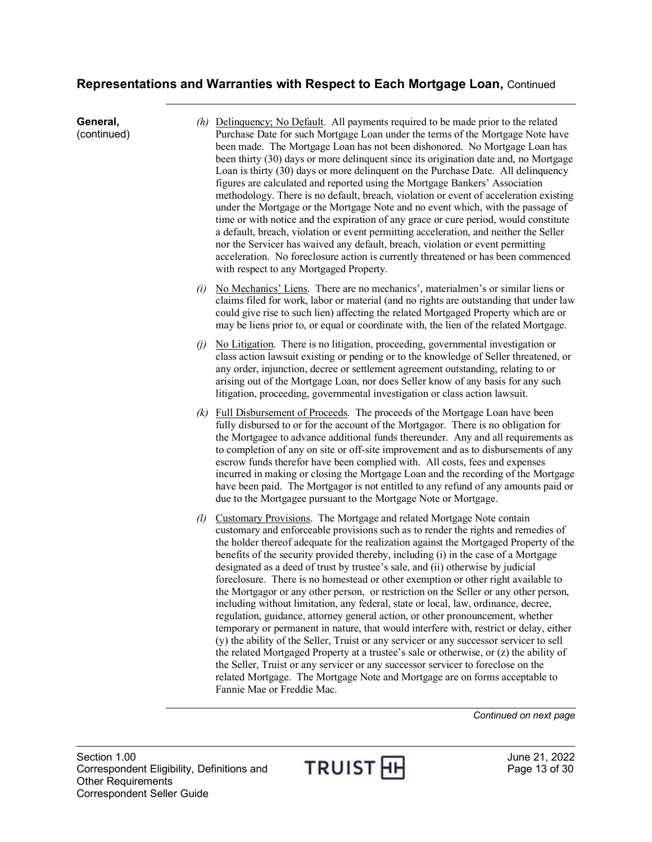**General,**  (continued) *(h)* Delinquency; No Default. All payments required to be made prior to the related Purchase Date for such Mortgage Loan under the terms of the Mortgage Note have been made. The Mortgage Loan has not been dishonored. No Mortgage Loan has been thirty (30) days or more delinquent since its origination date and, no Mortgage Loan is thirty (30) days or more delinquent on the Purchase Date. All delinquency figures are calculated and reported using the Mortgage Bankers' Association methodology. There is no default, breach, violation or event of acceleration existing under the Mortgage or the Mortgage Note and no event which, with the passage of time or with notice and the expiration of any grace or cure period, would constitute a default, breach, violation or event permitting acceleration, and neither the Seller nor the Servicer has waived any default, breach, violation or event permitting acceleration. No foreclosure action is currently threatened or has been commenced with respect to any Mortgaged Property. *(i)* No Mechanics' Liens. There are no mechanics', materialmen's or similar liens or claims filed for work, labor or material (and no rights are outstanding that under law could give rise to such lien) affecting the related Mortgaged Property which are or may be liens prior to, or equal or coordinate with, the lien of the related Mortgage. *(j)* No Litigation. There is no litigation, proceeding, governmental investigation or class action lawsuit existing or pending or to the knowledge of Seller threatened, or any order, injunction, decree or settlement agreement outstanding, relating to or arising out of the Mortgage Loan, nor does Seller know of any basis for any such litigation, proceeding, governmental investigation or class action lawsuit. *(k)* Full Disbursement of Proceeds. The proceeds of the Mortgage Loan have been fully disbursed to or for the account of the Mortgagor. There is no obligation for the Mortgagee to advance additional funds thereunder. Any and all requirements as to completion of any on site or off-site improvement and as to disbursements of any escrow funds therefor have been complied with. All costs, fees and expenses incurred in making or closing the Mortgage Loan and the recording of the Mortgage have been paid. The Mortgagor is not entitled to any refund of any amounts paid or due to the Mortgagee pursuant to the Mortgage Note or Mortgage. *(l)* Customary Provisions. The Mortgage and related Mortgage Note contain customary and enforceable provisions such as to render the rights and remedies of the holder thereof adequate for the realization against the Mortgaged Property of the benefits of the security provided thereby, including (i) in the case of a Mortgage designated as a deed of trust by trustee's sale, and (ii) otherwise by judicial foreclosure. There is no homestead or other exemption or other right available to the Mortgagor or any other person, or restriction on the Seller or any other person, including without limitation, any federal, state or local, law, ordinance, decree, regulation, guidance, attorney general action, or other pronouncement, whether temporary or permanent in nature, that would interfere with, restrict or delay, either (y) the ability of the Seller, Truist or any servicer or any successor servicer to sell the related Mortgaged Property at a trustee's sale or otherwise, or (z) the ability of the Seller, Truist or any servicer or any successor servicer to foreclose on the related Mortgage. The Mortgage Note and Mortgage are on forms acceptable to Fannie Mae or Freddie Mac.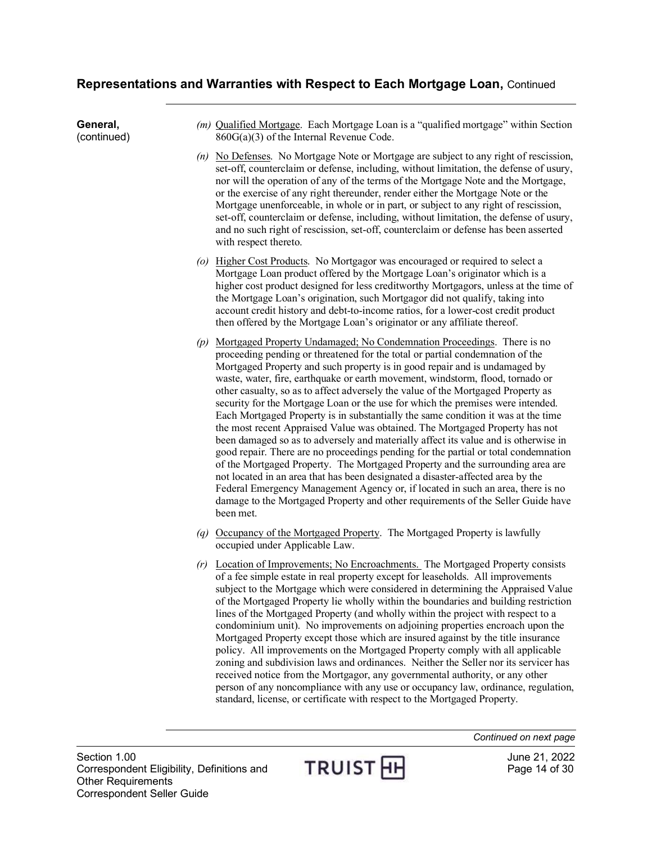(continued) *(m)* Qualified Mortgage. Each Mortgage Loan is a "qualified mortgage" within Section 860G(a)(3) of the Internal Revenue Code. *(n)* No Defenses. No Mortgage Note or Mortgage are subject to any right of rescission, set-off, counterclaim or defense, including, without limitation, the defense of usury, nor will the operation of any of the terms of the Mortgage Note and the Mortgage, or the exercise of any right thereunder, render either the Mortgage Note or the Mortgage unenforceable, in whole or in part, or subject to any right of rescission, set-off, counterclaim or defense, including, without limitation, the defense of usury, and no such right of rescission, set-off, counterclaim or defense has been asserted with respect thereto. *(o)* Higher Cost Products. No Mortgagor was encouraged or required to select a Mortgage Loan product offered by the Mortgage Loan's originator which is a higher cost product designed for less creditworthy Mortgagors, unless at the time of the Mortgage Loan's origination, such Mortgagor did not qualify, taking into account credit history and debt-to-income ratios, for a lower-cost credit product then offered by the Mortgage Loan's originator or any affiliate thereof. *(p)* Mortgaged Property Undamaged; No Condemnation Proceedings. There is no proceeding pending or threatened for the total or partial condemnation of the Mortgaged Property and such property is in good repair and is undamaged by waste, water, fire, earthquake or earth movement, windstorm, flood, tornado or other casualty, so as to affect adversely the value of the Mortgaged Property as

security for the Mortgage Loan or the use for which the premises were intended. Each Mortgaged Property is in substantially the same condition it was at the time the most recent Appraised Value was obtained. The Mortgaged Property has not been damaged so as to adversely and materially affect its value and is otherwise in good repair. There are no proceedings pending for the partial or total condemnation of the Mortgaged Property. The Mortgaged Property and the surrounding area are not located in an area that has been designated a disaster-affected area by the Federal Emergency Management Agency or, if located in such an area, there is no damage to the Mortgaged Property and other requirements of the Seller Guide have been met.

- *(q)* Occupancy of the Mortgaged Property. The Mortgaged Property is lawfully occupied under Applicable Law.
- *(r)* Location of Improvements; No Encroachments. The Mortgaged Property consists of a fee simple estate in real property except for leaseholds. All improvements subject to the Mortgage which were considered in determining the Appraised Value of the Mortgaged Property lie wholly within the boundaries and building restriction lines of the Mortgaged Property (and wholly within the project with respect to a condominium unit). No improvements on adjoining properties encroach upon the Mortgaged Property except those which are insured against by the title insurance policy. All improvements on the Mortgaged Property comply with all applicable zoning and subdivision laws and ordinances. Neither the Seller nor its servicer has received notice from the Mortgagor, any governmental authority, or any other person of any noncompliance with any use or occupancy law, ordinance, regulation, standard, license, or certificate with respect to the Mortgaged Property.

**General,**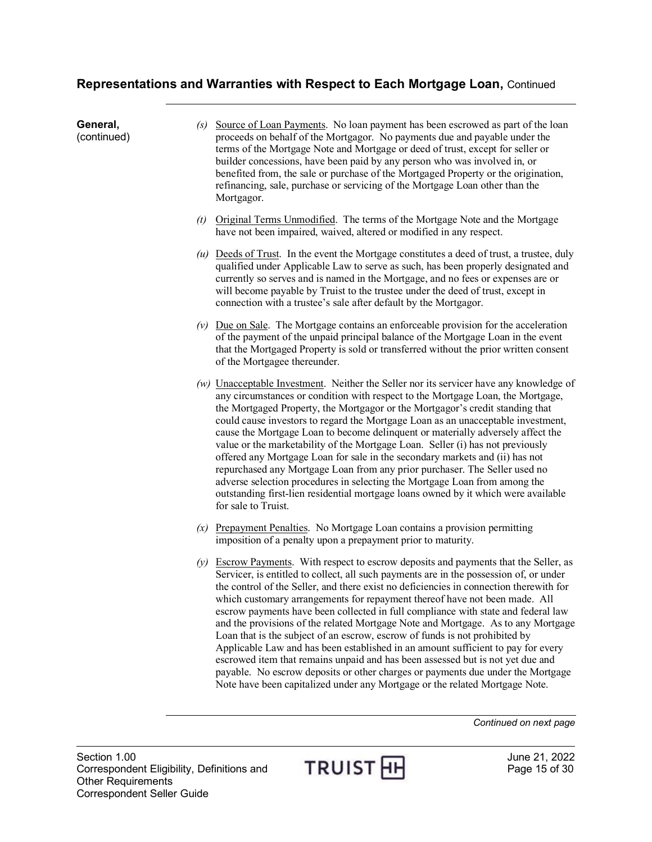| General,<br>(continued) | Source of Loan Payments. No loan payment has been escrowed as part of the loan<br>(s)<br>proceeds on behalf of the Mortgagor. No payments due and payable under the<br>terms of the Mortgage Note and Mortgage or deed of trust, except for seller or<br>builder concessions, have been paid by any person who was involved in, or<br>benefited from, the sale or purchase of the Mortgaged Property or the origination,<br>refinancing, sale, purchase or servicing of the Mortgage Loan other than the<br>Mortgagor.                                                                                                                                                                                                                                                                                                                                                                                                                                     |
|-------------------------|------------------------------------------------------------------------------------------------------------------------------------------------------------------------------------------------------------------------------------------------------------------------------------------------------------------------------------------------------------------------------------------------------------------------------------------------------------------------------------------------------------------------------------------------------------------------------------------------------------------------------------------------------------------------------------------------------------------------------------------------------------------------------------------------------------------------------------------------------------------------------------------------------------------------------------------------------------|
|                         | Original Terms Unmodified. The terms of the Mortgage Note and the Mortgage<br>(t)<br>have not been impaired, waived, altered or modified in any respect.                                                                                                                                                                                                                                                                                                                                                                                                                                                                                                                                                                                                                                                                                                                                                                                                   |
|                         | $(u)$ Deeds of Trust. In the event the Mortgage constitutes a deed of trust, a trustee, duly<br>qualified under Applicable Law to serve as such, has been properly designated and<br>currently so serves and is named in the Mortgage, and no fees or expenses are or<br>will become payable by Truist to the trustee under the deed of trust, except in<br>connection with a trustee's sale after default by the Mortgagor.                                                                                                                                                                                                                                                                                                                                                                                                                                                                                                                               |
|                         | $(v)$ Due on Sale. The Mortgage contains an enforceable provision for the acceleration<br>of the payment of the unpaid principal balance of the Mortgage Loan in the event<br>that the Mortgaged Property is sold or transferred without the prior written consent<br>of the Mortgagee thereunder.                                                                                                                                                                                                                                                                                                                                                                                                                                                                                                                                                                                                                                                         |
|                         | $(w)$ Unacceptable Investment. Neither the Seller nor its servicer have any knowledge of<br>any circumstances or condition with respect to the Mortgage Loan, the Mortgage,<br>the Mortgaged Property, the Mortgagor or the Mortgagor's credit standing that<br>could cause investors to regard the Mortgage Loan as an unacceptable investment,<br>cause the Mortgage Loan to become delinquent or materially adversely affect the<br>value or the marketability of the Mortgage Loan. Seller (i) has not previously<br>offered any Mortgage Loan for sale in the secondary markets and (ii) has not<br>repurchased any Mortgage Loan from any prior purchaser. The Seller used no<br>adverse selection procedures in selecting the Mortgage Loan from among the<br>outstanding first-lien residential mortgage loans owned by it which were available<br>for sale to Truist.                                                                             |
|                         | $(x)$ Prepayment Penalties. No Mortgage Loan contains a provision permitting<br>imposition of a penalty upon a prepayment prior to maturity.                                                                                                                                                                                                                                                                                                                                                                                                                                                                                                                                                                                                                                                                                                                                                                                                               |
|                         | Escrow Payments. With respect to escrow deposits and payments that the Seller, as<br>(y)<br>Servicer, is entitled to collect, all such payments are in the possession of, or under<br>the control of the Seller, and there exist no deficiencies in connection therewith for<br>which customary arrangements for repayment thereof have not been made. All<br>escrow payments have been collected in full compliance with state and federal law<br>and the provisions of the related Mortgage Note and Mortgage. As to any Mortgage<br>Loan that is the subject of an escrow, escrow of funds is not prohibited by<br>Applicable Law and has been established in an amount sufficient to pay for every<br>escrowed item that remains unpaid and has been assessed but is not yet due and<br>payable. No escrow deposits or other charges or payments due under the Mortgage<br>Note have been capitalized under any Mortgage or the related Mortgage Note. |

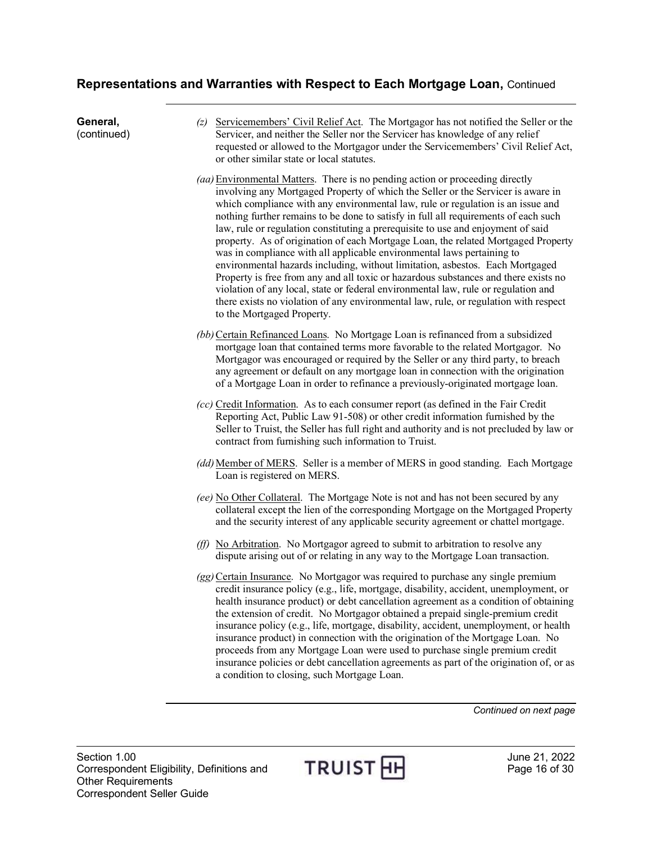**General,**  (continued) *(z)* Servicemembers' Civil Relief Act. The Mortgagor has not notified the Seller or the Servicer, and neither the Seller nor the Servicer has knowledge of any relief requested or allowed to the Mortgagor under the Servicemembers' Civil Relief Act, or other similar state or local statutes. *(aa)*Environmental Matters. There is no pending action or proceeding directly involving any Mortgaged Property of which the Seller or the Servicer is aware in which compliance with any environmental law, rule or regulation is an issue and nothing further remains to be done to satisfy in full all requirements of each such law, rule or regulation constituting a prerequisite to use and enjoyment of said property. As of origination of each Mortgage Loan, the related Mortgaged Property was in compliance with all applicable environmental laws pertaining to environmental hazards including, without limitation, asbestos. Each Mortgaged Property is free from any and all toxic or hazardous substances and there exists no violation of any local, state or federal environmental law, rule or regulation and there exists no violation of any environmental law, rule, or regulation with respect to the Mortgaged Property. *(bb)*Certain Refinanced Loans. No Mortgage Loan is refinanced from a subsidized mortgage loan that contained terms more favorable to the related Mortgagor. No Mortgagor was encouraged or required by the Seller or any third party, to breach any agreement or default on any mortgage loan in connection with the origination of a Mortgage Loan in order to refinance a previously-originated mortgage loan. *(cc)* Credit Information. As to each consumer report (as defined in the Fair Credit Reporting Act, Public Law 91-508) or other credit information furnished by the Seller to Truist, the Seller has full right and authority and is not precluded by law or contract from furnishing such information to Truist. *(dd)*Member of MERS. Seller is a member of MERS in good standing. Each Mortgage Loan is registered on MERS. *(ee)* No Other Collateral. The Mortgage Note is not and has not been secured by any collateral except the lien of the corresponding Mortgage on the Mortgaged Property and the security interest of any applicable security agreement or chattel mortgage. *(ff)* No Arbitration. No Mortgagor agreed to submit to arbitration to resolve any dispute arising out of or relating in any way to the Mortgage Loan transaction. *(gg)* Certain Insurance. No Mortgagor was required to purchase any single premium credit insurance policy (e.g., life, mortgage, disability, accident, unemployment, or health insurance product) or debt cancellation agreement as a condition of obtaining the extension of credit. No Mortgagor obtained a prepaid single-premium credit insurance policy (e.g., life, mortgage, disability, accident, unemployment, or health insurance product) in connection with the origination of the Mortgage Loan. No proceeds from any Mortgage Loan were used to purchase single premium credit insurance policies or debt cancellation agreements as part of the origination of, or as a condition to closing, such Mortgage Loan.

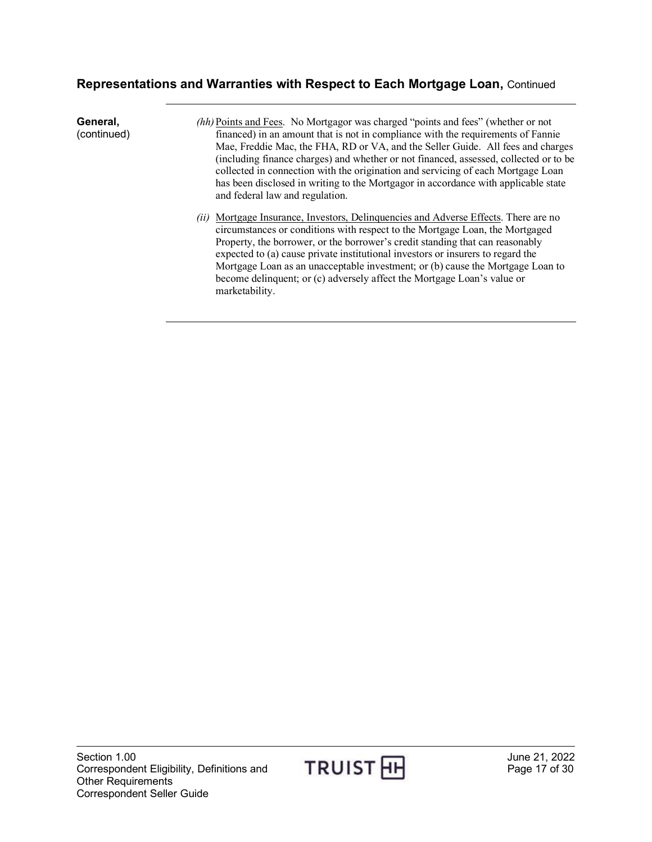| General,<br>(continued) | (hh) Points and Fees. No Mortgagor was charged "points and fees" (whether or not<br>financed) in an amount that is not in compliance with the requirements of Fannie<br>Mae, Freddie Mac, the FHA, RD or VA, and the Seller Guide. All fees and charges<br>(including finance charges) and whether or not financed, assessed, collected or to be<br>collected in connection with the origination and servicing of each Mortgage Loan<br>has been disclosed in writing to the Mortgagor in accordance with applicable state<br>and federal law and regulation. |
|-------------------------|---------------------------------------------------------------------------------------------------------------------------------------------------------------------------------------------------------------------------------------------------------------------------------------------------------------------------------------------------------------------------------------------------------------------------------------------------------------------------------------------------------------------------------------------------------------|
|                         | Mortgage Insurance, Investors, Delinquencies and Adverse Effects. There are no<br>(ii)<br>circumstances or conditions with respect to the Mortgage Loan, the Mortgaged<br>Property, the borrower, or the borrower's credit standing that can reasonably<br>expected to (a) cause private institutional investors or insurers to regard the<br>Mortgage Loan as an unacceptable investment; or (b) cause the Mortgage Loan to<br>become delinquent; or (c) adversely affect the Mortgage Loan's value or<br>marketability.                                     |

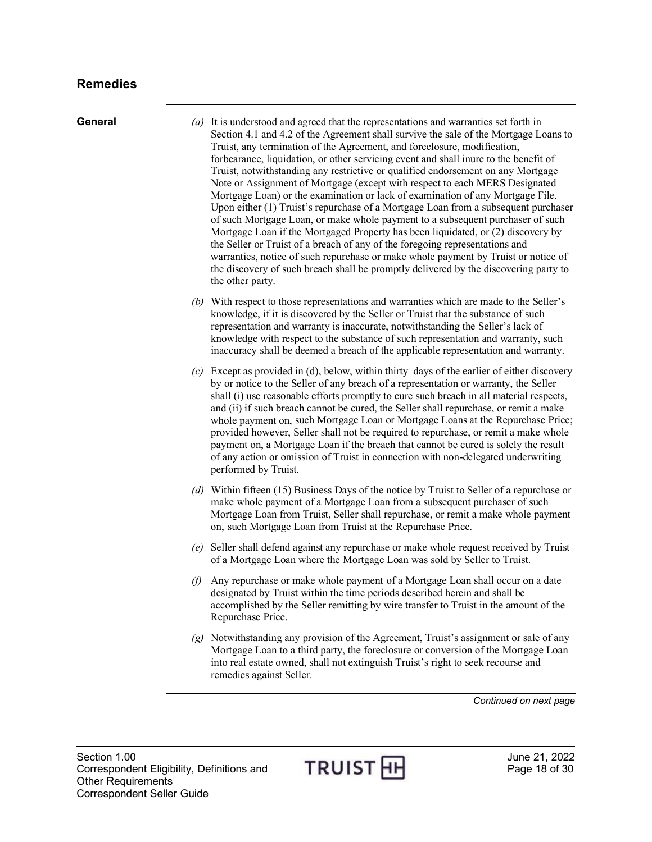<span id="page-17-0"></span>**General** *(a)* It is understood and agreed that the representations and warranties set forth in Section 4.1 and 4.2 of the Agreement shall survive the sale of the Mortgage Loans to Truist, any termination of the Agreement, and foreclosure, modification, forbearance, liquidation, or other servicing event and shall inure to the benefit of Truist, notwithstanding any restrictive or qualified endorsement on any Mortgage Note or Assignment of Mortgage (except with respect to each MERS Designated Mortgage Loan) or the examination or lack of examination of any Mortgage File. Upon either (1) Truist's repurchase of a Mortgage Loan from a subsequent purchaser of such Mortgage Loan, or make whole payment to a subsequent purchaser of such Mortgage Loan if the Mortgaged Property has been liquidated, or (2) discovery by the Seller or Truist of a breach of any of the foregoing representations and warranties, notice of such repurchase or make whole payment by Truist or notice of the discovery of such breach shall be promptly delivered by the discovering party to the other party.

- *(b)* With respect to those representations and warranties which are made to the Seller's knowledge, if it is discovered by the Seller or Truist that the substance of such representation and warranty is inaccurate, notwithstanding the Seller's lack of knowledge with respect to the substance of such representation and warranty, such inaccuracy shall be deemed a breach of the applicable representation and warranty.
- *(c)* Except as provided in (d), below, within thirty days of the earlier of either discovery by or notice to the Seller of any breach of a representation or warranty, the Seller shall (i) use reasonable efforts promptly to cure such breach in all material respects, and (ii) if such breach cannot be cured, the Seller shall repurchase, or remit a make whole payment on, such Mortgage Loan or Mortgage Loans at the Repurchase Price; provided however, Seller shall not be required to repurchase, or remit a make whole payment on, a Mortgage Loan if the breach that cannot be cured is solely the result of any action or omission of Truist in connection with non-delegated underwriting performed by Truist.
- *(d)* Within fifteen (15) Business Days of the notice by Truist to Seller of a repurchase or make whole payment of a Mortgage Loan from a subsequent purchaser of such Mortgage Loan from Truist, Seller shall repurchase, or remit a make whole payment on, such Mortgage Loan from Truist at the Repurchase Price.
- *(e)* Seller shall defend against any repurchase or make whole request received by Truist of a Mortgage Loan where the Mortgage Loan was sold by Seller to Truist.
- *(f)* Any repurchase or make whole payment of a Mortgage Loan shall occur on a date designated by Truist within the time periods described herein and shall be accomplished by the Seller remitting by wire transfer to Truist in the amount of the Repurchase Price.
- *(g)* Notwithstanding any provision of the Agreement, Truist's assignment or sale of any Mortgage Loan to a third party, the foreclosure or conversion of the Mortgage Loan into real estate owned, shall not extinguish Truist's right to seek recourse and remedies against Seller.

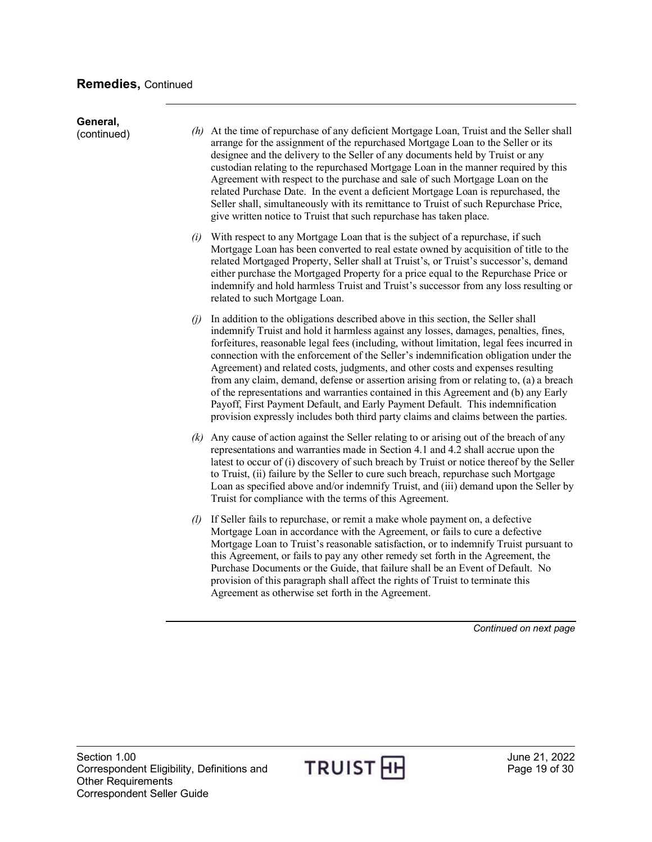| General,<br>(continued) |     | $(h)$ At the time of repurchase of any deficient Mortgage Loan, Truist and the Seller shall<br>arrange for the assignment of the repurchased Mortgage Loan to the Seller or its<br>designee and the delivery to the Seller of any documents held by Truist or any<br>custodian relating to the repurchased Mortgage Loan in the manner required by this<br>Agreement with respect to the purchase and sale of such Mortgage Loan on the<br>related Purchase Date. In the event a deficient Mortgage Loan is repurchased, the<br>Seller shall, simultaneously with its remittance to Truist of such Repurchase Price,<br>give written notice to Truist that such repurchase has taken place.                                                                                                                 |
|-------------------------|-----|-------------------------------------------------------------------------------------------------------------------------------------------------------------------------------------------------------------------------------------------------------------------------------------------------------------------------------------------------------------------------------------------------------------------------------------------------------------------------------------------------------------------------------------------------------------------------------------------------------------------------------------------------------------------------------------------------------------------------------------------------------------------------------------------------------------|
|                         | (i) | With respect to any Mortgage Loan that is the subject of a repurchase, if such<br>Mortgage Loan has been converted to real estate owned by acquisition of title to the<br>related Mortgaged Property, Seller shall at Truist's, or Truist's successor's, demand<br>either purchase the Mortgaged Property for a price equal to the Repurchase Price or<br>indemnify and hold harmless Truist and Truist's successor from any loss resulting or<br>related to such Mortgage Loan.                                                                                                                                                                                                                                                                                                                            |
|                         | (i) | In addition to the obligations described above in this section, the Seller shall<br>indemnify Truist and hold it harmless against any losses, damages, penalties, fines,<br>forfeitures, reasonable legal fees (including, without limitation, legal fees incurred in<br>connection with the enforcement of the Seller's indemnification obligation under the<br>Agreement) and related costs, judgments, and other costs and expenses resulting<br>from any claim, demand, defense or assertion arising from or relating to, (a) a breach<br>of the representations and warranties contained in this Agreement and (b) any Early<br>Payoff, First Payment Default, and Early Payment Default. This indemnification<br>provision expressly includes both third party claims and claims between the parties. |
|                         |     | $(k)$ Any cause of action against the Seller relating to or arising out of the breach of any<br>representations and warranties made in Section 4.1 and 4.2 shall accrue upon the<br>latest to occur of (i) discovery of such breach by Truist or notice thereof by the Seller<br>to Truist, (ii) failure by the Seller to cure such breach, repurchase such Mortgage<br>Loan as specified above and/or indemnify Truist, and (iii) demand upon the Seller by<br>Truist for compliance with the terms of this Agreement.                                                                                                                                                                                                                                                                                     |
|                         |     | (1) If Seller fails to repurchase, or remit a make whole payment on, a defective<br>Mortgage Loan in accordance with the Agreement, or fails to cure a defective<br>Mortgage Loan to Truist's reasonable satisfaction, or to indemnify Truist pursuant to<br>this Agreement, or fails to pay any other remedy set forth in the Agreement, the<br>Purchase Documents or the Guide, that failure shall be an Event of Default. No<br>provision of this paragraph shall affect the rights of Truist to terminate this<br>Agreement as otherwise set forth in the Agreement.                                                                                                                                                                                                                                    |

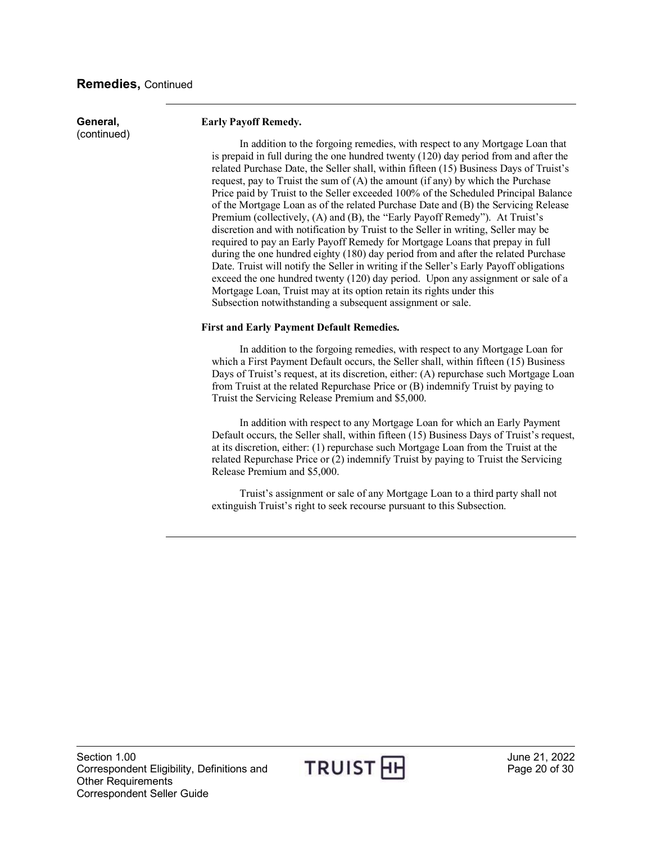#### **Remedies,** Continued

**General,**  (continued)

#### **Early Payoff Remedy.**

In addition to the forgoing remedies, with respect to any Mortgage Loan that is prepaid in full during the one hundred twenty (120) day period from and after the related Purchase Date, the Seller shall, within fifteen (15) Business Days of Truist's request, pay to Truist the sum of (A) the amount (if any) by which the Purchase Price paid by Truist to the Seller exceeded 100% of the Scheduled Principal Balance of the Mortgage Loan as of the related Purchase Date and (B) the Servicing Release Premium (collectively, (A) and (B), the "Early Payoff Remedy"). At Truist's discretion and with notification by Truist to the Seller in writing, Seller may be required to pay an Early Payoff Remedy for Mortgage Loans that prepay in full during the one hundred eighty (180) day period from and after the related Purchase Date. Truist will notify the Seller in writing if the Seller's Early Payoff obligations exceed the one hundred twenty (120) day period. Upon any assignment or sale of a Mortgage Loan, Truist may at its option retain its rights under this Subsection notwithstanding a subsequent assignment or sale.

#### **First and Early Payment Default Remedies.**

In addition to the forgoing remedies, with respect to any Mortgage Loan for which a First Payment Default occurs, the Seller shall, within fifteen (15) Business Days of Truist's request, at its discretion, either: (A) repurchase such Mortgage Loan from Truist at the related Repurchase Price or (B) indemnify Truist by paying to Truist the Servicing Release Premium and \$5,000.

In addition with respect to any Mortgage Loan for which an Early Payment Default occurs, the Seller shall, within fifteen (15) Business Days of Truist's request, at its discretion, either: (1) repurchase such Mortgage Loan from the Truist at the related Repurchase Price or (2) indemnify Truist by paying to Truist the Servicing Release Premium and \$5,000.

Truist's assignment or sale of any Mortgage Loan to a third party shall not extinguish Truist's right to seek recourse pursuant to this Subsection.

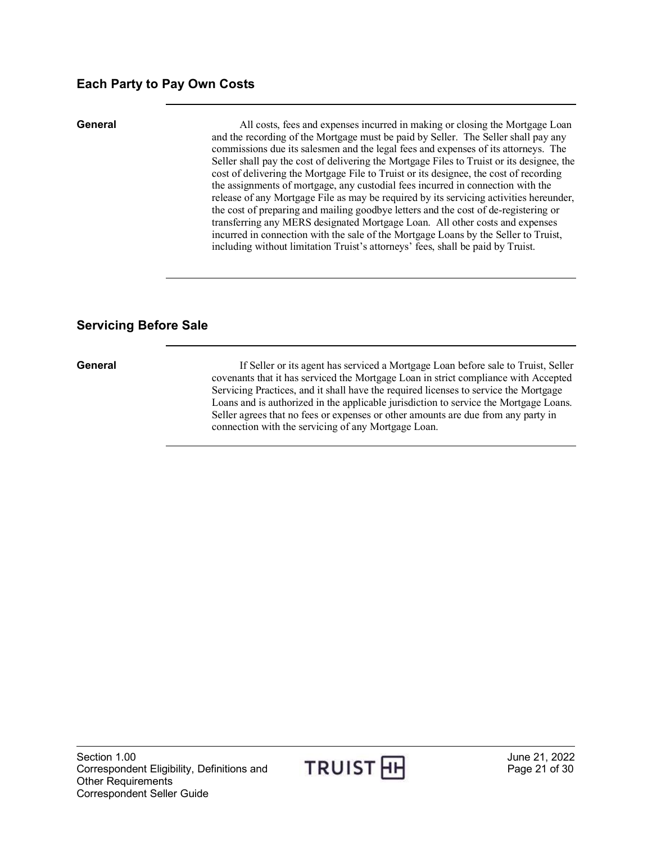#### <span id="page-20-0"></span>**Each Party to Pay Own Costs**

**General** All costs, fees and expenses incurred in making or closing the Mortgage Loan and the recording of the Mortgage must be paid by Seller. The Seller shall pay any commissions due its salesmen and the legal fees and expenses of its attorneys. The Seller shall pay the cost of delivering the Mortgage Files to Truist or its designee, the cost of delivering the Mortgage File to Truist or its designee, the cost of recording the assignments of mortgage, any custodial fees incurred in connection with the release of any Mortgage File as may be required by its servicing activities hereunder, the cost of preparing and mailing goodbye letters and the cost of de-registering or transferring any MERS designated Mortgage Loan. All other costs and expenses incurred in connection with the sale of the Mortgage Loans by the Seller to Truist, including without limitation Truist's attorneys' fees, shall be paid by Truist.

#### <span id="page-20-1"></span>**Servicing Before Sale**

**General** If Seller or its agent has serviced a Mortgage Loan before sale to Truist, Seller covenants that it has serviced the Mortgage Loan in strict compliance with Accepted Servicing Practices, and it shall have the required licenses to service the Mortgage Loans and is authorized in the applicable jurisdiction to service the Mortgage Loans. Seller agrees that no fees or expenses or other amounts are due from any party in connection with the servicing of any Mortgage Loan.

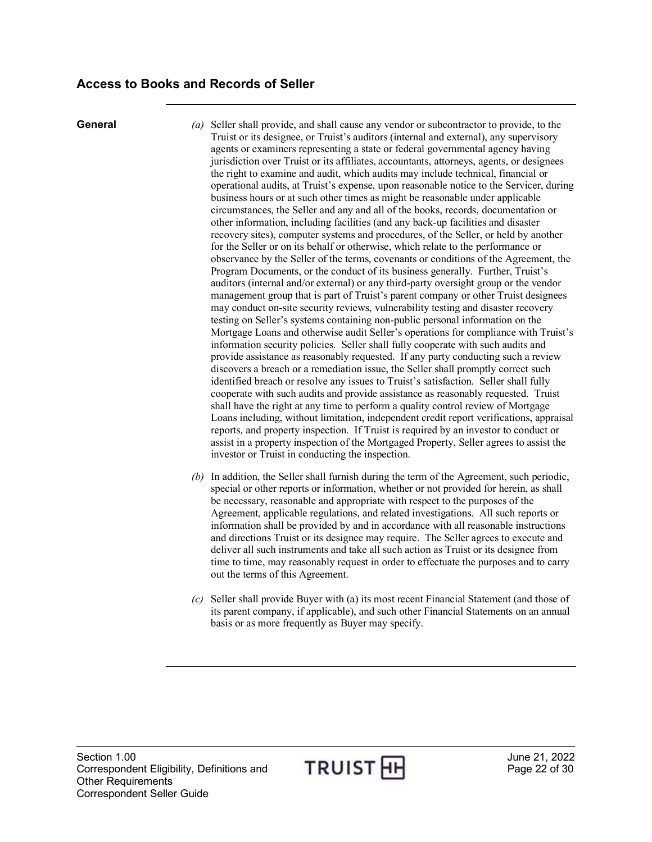- <span id="page-21-0"></span>**General** *(a)* Seller shall provide, and shall cause any vendor or subcontractor to provide, to the Truist or its designee, or Truist's auditors (internal and external), any supervisory agents or examiners representing a state or federal governmental agency having jurisdiction over Truist or its affiliates, accountants, attorneys, agents, or designees the right to examine and audit, which audits may include technical, financial or operational audits, at Truist's expense, upon reasonable notice to the Servicer, during business hours or at such other times as might be reasonable under applicable circumstances, the Seller and any and all of the books, records, documentation or other information, including facilities (and any back-up facilities and disaster recovery sites), computer systems and procedures, of the Seller, or held by another for the Seller or on its behalf or otherwise, which relate to the performance or observance by the Seller of the terms, covenants or conditions of the Agreement, the Program Documents, or the conduct of its business generally. Further, Truist's auditors (internal and/or external) or any third-party oversight group or the vendor management group that is part of Truist's parent company or other Truist designees may conduct on-site security reviews, vulnerability testing and disaster recovery testing on Seller's systems containing non-public personal information on the Mortgage Loans and otherwise audit Seller's operations for compliance with Truist's information security policies. Seller shall fully cooperate with such audits and provide assistance as reasonably requested. If any party conducting such a review discovers a breach or a remediation issue, the Seller shall promptly correct such identified breach or resolve any issues to Truist's satisfaction. Seller shall fully cooperate with such audits and provide assistance as reasonably requested. Truist shall have the right at any time to perform a quality control review of Mortgage Loans including, without limitation, independent credit report verifications, appraisal reports, and property inspection. If Truist is required by an investor to conduct or assist in a property inspection of the Mortgaged Property, Seller agrees to assist the investor or Truist in conducting the inspection.
	- *(b)* In addition, the Seller shall furnish during the term of the Agreement, such periodic, special or other reports or information, whether or not provided for herein, as shall be necessary, reasonable and appropriate with respect to the purposes of the Agreement, applicable regulations, and related investigations. All such reports or information shall be provided by and in accordance with all reasonable instructions and directions Truist or its designee may require. The Seller agrees to execute and deliver all such instruments and take all such action as Truist or its designee from time to time, may reasonably request in order to effectuate the purposes and to carry out the terms of this Agreement.
	- *(c)* Seller shall provide Buyer with (a) its most recent Financial Statement (and those of its parent company, if applicable), and such other Financial Statements on an annual basis or as more frequently as Buyer may specify.

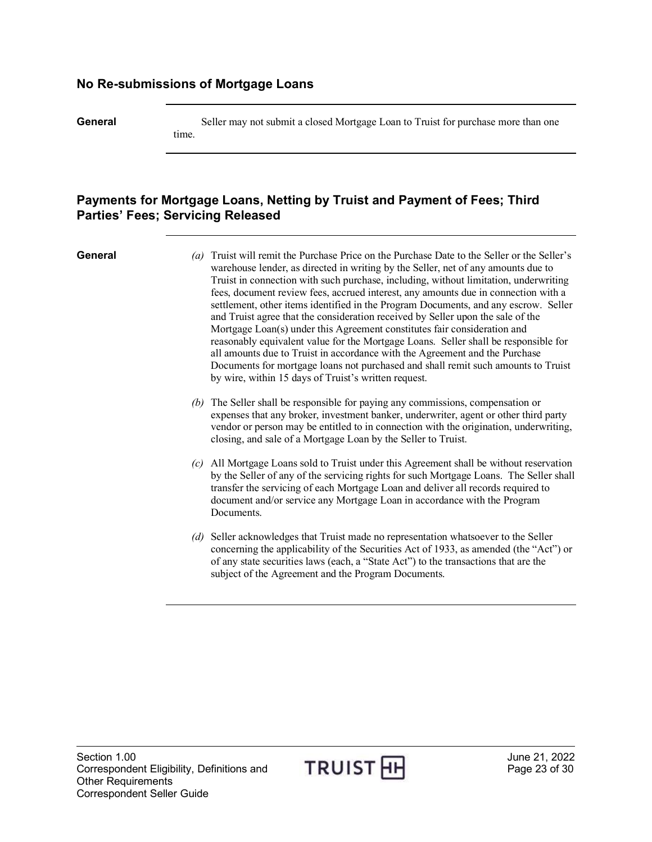#### <span id="page-22-0"></span>**No Re-submissions of Mortgage Loans**

**General** Seller may not submit a closed Mortgage Loan to Truist for purchase more than one time.

#### <span id="page-22-1"></span>**Payments for Mortgage Loans, Netting by Truist and Payment of Fees; Third Parties' Fees; Servicing Released**

- **General** *(a)* Truist will remit the Purchase Price on the Purchase Date to the Seller or the Seller's warehouse lender, as directed in writing by the Seller, net of any amounts due to Truist in connection with such purchase, including, without limitation, underwriting fees, document review fees, accrued interest, any amounts due in connection with a settlement, other items identified in the Program Documents, and any escrow. Seller and Truist agree that the consideration received by Seller upon the sale of the Mortgage Loan(s) under this Agreement constitutes fair consideration and reasonably equivalent value for the Mortgage Loans. Seller shall be responsible for all amounts due to Truist in accordance with the Agreement and the Purchase Documents for mortgage loans not purchased and shall remit such amounts to Truist by wire, within 15 days of Truist's written request.
	- *(b)* The Seller shall be responsible for paying any commissions, compensation or expenses that any broker, investment banker, underwriter, agent or other third party vendor or person may be entitled to in connection with the origination, underwriting, closing, and sale of a Mortgage Loan by the Seller to Truist.
	- *(c)* All Mortgage Loans sold to Truist under this Agreement shall be without reservation by the Seller of any of the servicing rights for such Mortgage Loans. The Seller shall transfer the servicing of each Mortgage Loan and deliver all records required to document and/or service any Mortgage Loan in accordance with the Program Documents.
	- *(d)* Seller acknowledges that Truist made no representation whatsoever to the Seller concerning the applicability of the Securities Act of 1933, as amended (the "Act") or of any state securities laws (each, a "State Act") to the transactions that are the subject of the Agreement and the Program Documents.

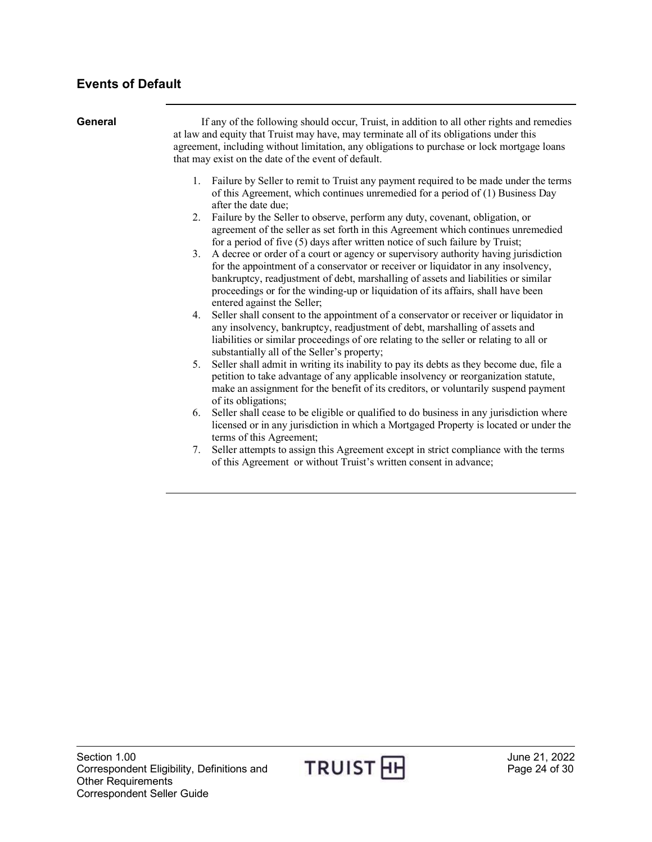## <span id="page-23-0"></span>**Events of Default**

| General | If any of the following should occur, Truist, in addition to all other rights and remedies<br>at law and equity that Truist may have, may terminate all of its obligations under this<br>agreement, including without limitation, any obligations to purchase or lock mortgage loans<br>that may exist on the date of the event of default.                                             |  |  |  |
|---------|-----------------------------------------------------------------------------------------------------------------------------------------------------------------------------------------------------------------------------------------------------------------------------------------------------------------------------------------------------------------------------------------|--|--|--|
|         | 1. Failure by Seller to remit to Truist any payment required to be made under the terms<br>of this Agreement, which continues unremedied for a period of (1) Business Day<br>after the date due;                                                                                                                                                                                        |  |  |  |
|         | Failure by the Seller to observe, perform any duty, covenant, obligation, or<br>2.<br>agreement of the seller as set forth in this Agreement which continues unremedied<br>for a period of five (5) days after written notice of such failure by Truist;                                                                                                                                |  |  |  |
|         | A decree or order of a court or agency or supervisory authority having jurisdiction<br>3.<br>for the appointment of a conservator or receiver or liquidator in any insolvency,<br>bankruptcy, readjustment of debt, marshalling of assets and liabilities or similar<br>proceedings or for the winding-up or liquidation of its affairs, shall have been<br>entered against the Seller; |  |  |  |
|         | Seller shall consent to the appointment of a conservator or receiver or liquidator in<br>4.<br>any insolvency, bankruptcy, readjustment of debt, marshalling of assets and<br>liabilities or similar proceedings of ore relating to the seller or relating to all or<br>substantially all of the Seller's property;                                                                     |  |  |  |
|         | Seller shall admit in writing its inability to pay its debts as they become due, file a<br>5.<br>petition to take advantage of any applicable insolvency or reorganization statute,<br>make an assignment for the benefit of its creditors, or voluntarily suspend payment<br>of its obligations;                                                                                       |  |  |  |
|         | Seller shall cease to be eligible or qualified to do business in any jurisdiction where<br>6.<br>licensed or in any jurisdiction in which a Mortgaged Property is located or under the<br>terms of this Agreement;                                                                                                                                                                      |  |  |  |
|         | Seller attempts to assign this Agreement except in strict compliance with the terms<br>7.<br>of this Agreement or without Truist's written consent in advance;                                                                                                                                                                                                                          |  |  |  |

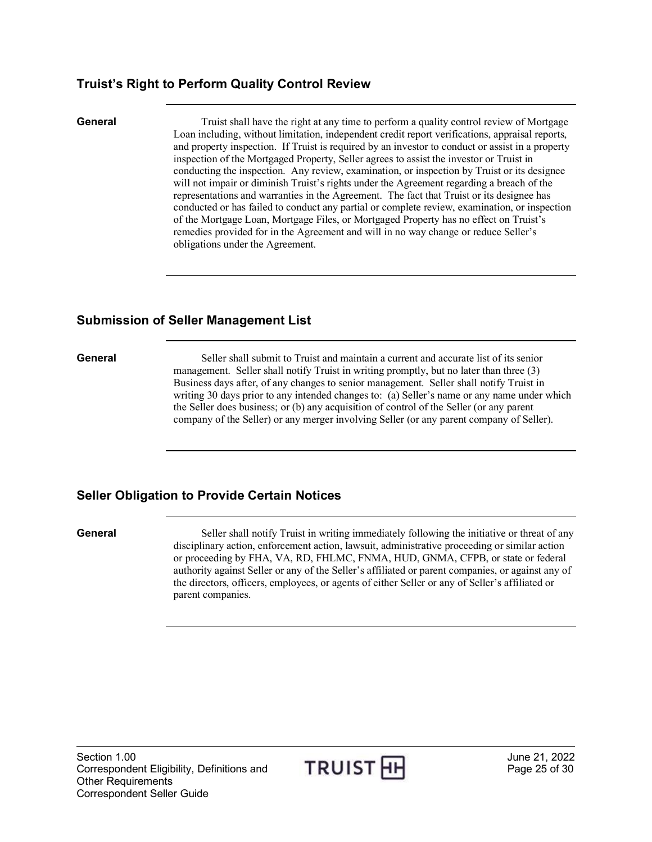#### <span id="page-24-0"></span>**Truist's Right to Perform Quality Control Review**

**General** Truist shall have the right at any time to perform a quality control review of Mortgage Loan including, without limitation, independent credit report verifications, appraisal reports, and property inspection. If Truist is required by an investor to conduct or assist in a property inspection of the Mortgaged Property, Seller agrees to assist the investor or Truist in conducting the inspection. Any review, examination, or inspection by Truist or its designee will not impair or diminish Truist's rights under the Agreement regarding a breach of the representations and warranties in the Agreement. The fact that Truist or its designee has conducted or has failed to conduct any partial or complete review, examination, or inspection of the Mortgage Loan, Mortgage Files, or Mortgaged Property has no effect on Truist's remedies provided for in the Agreement and will in no way change or reduce Seller's obligations under the Agreement.

#### <span id="page-24-1"></span>**Submission of Seller Management List**

**General** Seller shall submit to Truist and maintain a current and accurate list of its senior management. Seller shall notify Truist in writing promptly, but no later than three (3) Business days after, of any changes to senior management. Seller shall notify Truist in writing 30 days prior to any intended changes to: (a) Seller's name or any name under which the Seller does business; or (b) any acquisition of control of the Seller (or any parent company of the Seller) or any merger involving Seller (or any parent company of Seller).

### <span id="page-24-2"></span>**Seller Obligation to Provide Certain Notices**

**General** Seller shall notify Truist in writing immediately following the initiative or threat of any disciplinary action, enforcement action, lawsuit, administrative proceeding or similar action or proceeding by FHA, VA, RD, FHLMC, FNMA, HUD, GNMA, CFPB, or state or federal authority against Seller or any of the Seller's affiliated or parent companies, or against any of the directors, officers, employees, or agents of either Seller or any of Seller's affiliated or parent companies.

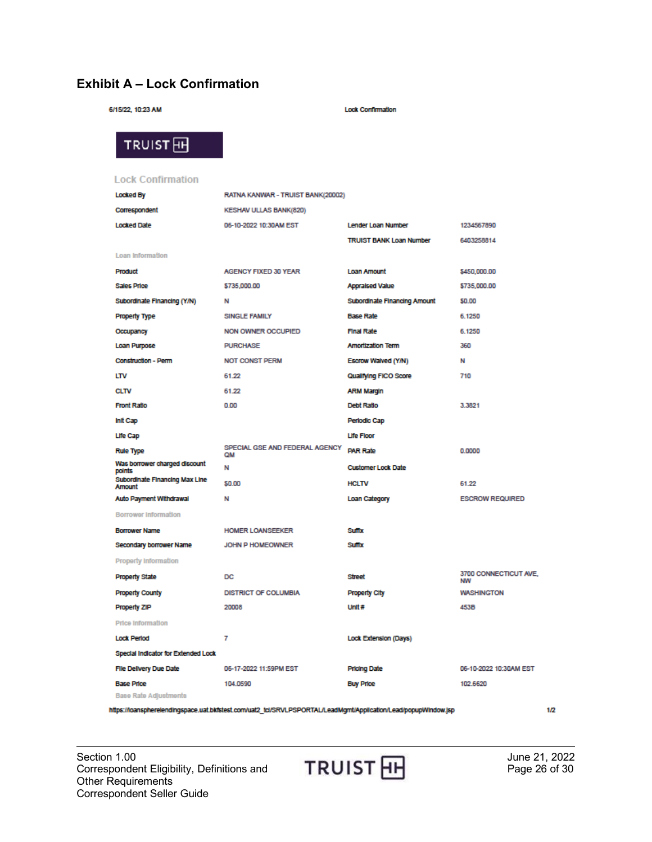### <span id="page-25-0"></span>**Exhibit A – Lock Confirmation**

| 6/15/22, 10:23 AM           |                                   | <b>Lock Confirmation</b>       |
|-----------------------------|-----------------------------------|--------------------------------|
| TRUIST <sub>H</sub>         |                                   |                                |
| <b>Lock Confirmation</b>    |                                   |                                |
| <b>Locked By</b>            | RATNA KANWAR - TRUIST BANK(20002) |                                |
| Correspondent               | <b>KESHAV ULLAS BANK(820)</b>     |                                |
| <b>Locked Date</b>          | 06-10-2022 10:30AM EST            | <b>Lender Loan Number</b>      |
|                             |                                   | <b>TRUIST BANK Loan Number</b> |
| Loan Information            |                                   |                                |
| Product                     | <b>AGENCY FIXED 30 YEAR</b>       | <b>Loan Amount</b>             |
| Sales Price                 | \$735,000.00                      | <b>Appraised Value</b>         |
| Subordinate Financing (Y/N) | N                                 | Subordinate Financing Amount   |
| <b>Property Type</b>        | SINGLE FAMILY                     | <b>Base Rate</b>               |
| Occupancy                   | NON OWNER OCCUPIED                | Final Rate                     |
| Loan Purpose                | <b>PURCHASE</b>                   | <b>Amortization Term</b>       |
| Construction - Perm         | <b>NOT CONST PERM</b>             | Escrow Walved (Y/N)            |
| LTV                         | 61.22                             | Qualiving FICO Score           |

| Subordinate Financing (Y/N)              | N                                    | Subordinate Financing Amount | 50.00                              |
|------------------------------------------|--------------------------------------|------------------------------|------------------------------------|
| <b>Property Type</b>                     | SINGLE FAMILY                        | <b>Base Rate</b>             | 6.1250                             |
| Occupancy                                | <b>NON OWNER OCCUPIED</b>            | Final Rate                   | 6.1250                             |
| Loan Purpose                             | <b>PURCHASE</b>                      | <b>Amortization Term</b>     | 360                                |
| <b>Construction - Perm</b>               | <b>NOT CONST PERM</b>                | Escrow Walved (Y/N)          | N                                  |
| LTV                                      | 61.22                                | Qualifying FICO Score        | 710                                |
| <b>CLTV</b>                              | 61.22                                | <b>ARM Margin</b>            |                                    |
| <b>Front Ratio</b>                       | 0.00                                 | Debt Ratio                   | 3.3821                             |
| Init Cap                                 |                                      | Periodic Cap                 |                                    |
| Life Cap                                 |                                      | <b>Life Floor</b>            |                                    |
| <b>Rule Type</b>                         | SPECIAL GSE AND FEDERAL AGENCY<br>QM | <b>PAR Rate</b>              | 0.0000                             |
| Was borrower charged discount<br>points  | N                                    | <b>Customer Lock Date</b>    |                                    |
| Subordinate Financing Max Line<br>Amount | \$0.00                               | <b>HCLTV</b>                 | 61.22                              |
| Auto Payment Withdrawal                  | N                                    | Loan Category                | <b>ESCROW REQUIRED</b>             |
| <b>Borrower Information</b>              |                                      |                              |                                    |
| <b>Borrower Name</b>                     | <b>HOMER LOANSEEKER</b>              | <b>Suntx</b>                 |                                    |
| Secondary borrower Name                  | JOHN P HOMEOWNER                     | <b>Suntx</b>                 |                                    |
| <b>Property Information</b>              |                                      |                              |                                    |
| <b>Property State</b>                    | DC                                   | <b>Street</b>                | 3700 CONNECTICUT AVE.<br><b>NW</b> |
| <b>Property County</b>                   | <b>DISTRICT OF COLUMBIA</b>          | <b>Property City</b>         | <b>WASHINGTON</b>                  |
| Property ZIP                             | 20008                                | Unit $#$                     | 453B                               |
| <b>Price Information</b>                 |                                      |                              |                                    |
| <b>Lock Period</b>                       | 7                                    | Lock Extension (Days)        |                                    |
| Special Indicator for Extended Lock      |                                      |                              |                                    |
| File Delivery Due Date                   | 06-17-2022 11:59PM EST               | <b>Pricing Date</b>          | 06-10-2022 10:30AM EST             |
| <b>Base Price</b>                        | 104.0590                             | <b>Buy Price</b>             | 102,6620                           |
| <b>Base Rate Adjustments</b>             |                                      |                              |                                    |

https://loanspherelendingspace.uat.bkfstest.com/uat2\_tcl/SRVLPSPORTAL/LeadMgmt/Application/Lead/popupWindow.jsp

 $1/2$ 

Section 1.00<br>
Correspondent Eligibility, Definitions and<br>
Cher Boguirements<br>
Cher Boguirements Correspondent Eligibility, Definitions and Other Requirements Correspondent Seller Guide

1234567890 6403258814

\$450,000.00 \$735,000.00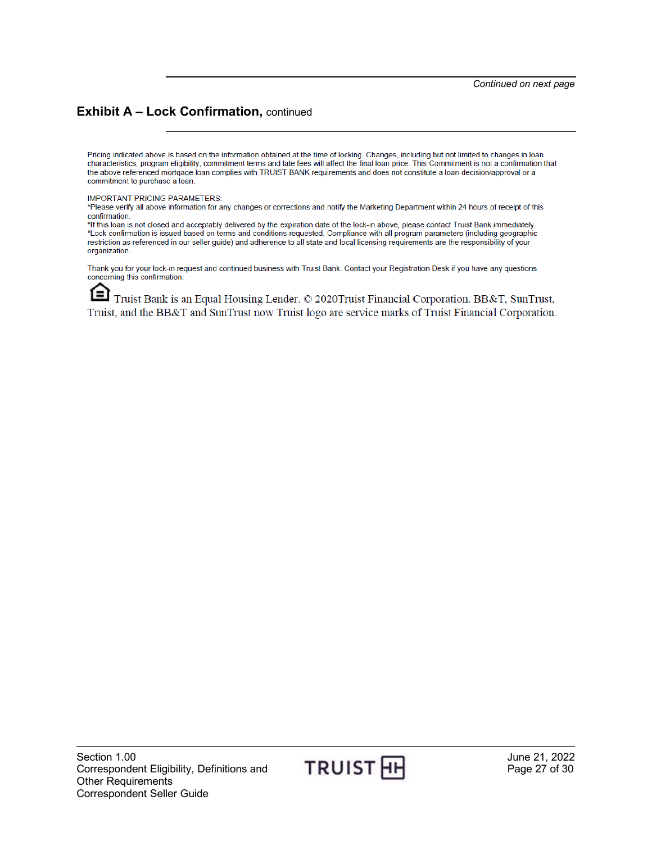#### **Exhibit A – Lock Confirmation,** continued

Pricing indicated above is based on the information obtained at the time of locking. Changes, including but not limited to changes in loan characteristics, program eligibility, commitment terms and late fees will affect the final loan price. This Commitment is not a confirmation that the above referenced mortgage loan complies with TRUIST BANK requirements and does not constitute a loan decision/approval or a commitment to purchase a loan.

#### **IMPORTANT PRICING PARAMETERS:**

\*Please verify all above information for any changes or corrections and notify the Marketing Department within 24 hours of receipt of this confirmation.

\*If this loan is not closed and acceptably delivered by the expiration date of the lock-in above, please contact Truist Bank immediately. \*Lock confirmation is issued based on terms and conditions requested. Compliance with all program parameters (including geographic restriction as referenced in our seller guide) and adherence to all state and local licensing requirements are the responsibility of your organization.

Thank you for your lock-in request and continued business with Truist Bank. Contact your Registration Desk if you have any questions concerning this confirmation.

ſΞ Truist Bank is an Equal Housing Lender. © 2020Truist Financial Corporation. BB&T, SunTrust, Truist, and the BB&T and SunTrust now Truist logo are service marks of Truist Financial Corporation.

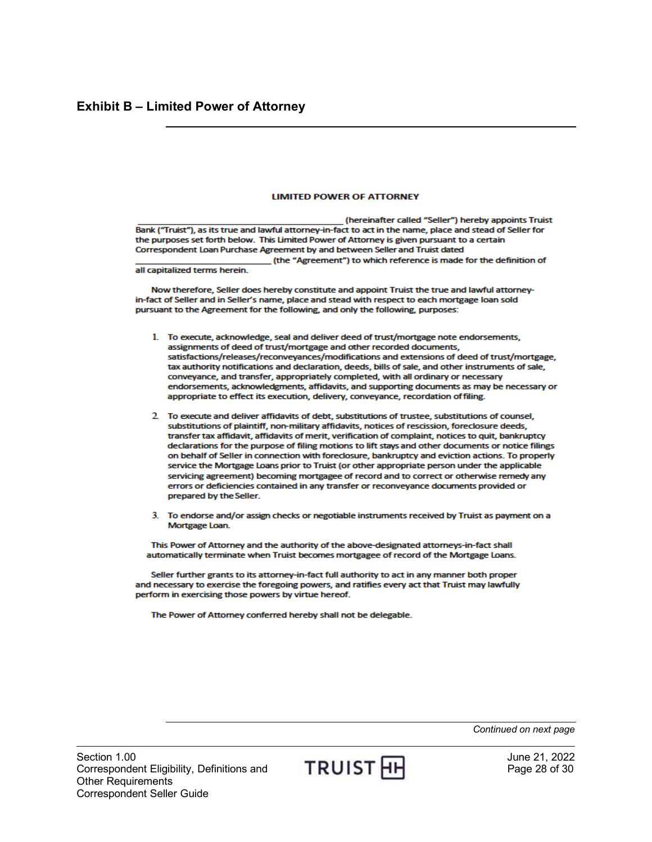#### **LIMITED POWER OF ATTORNEY**

<span id="page-27-0"></span>(hereinafter called "Seller") hereby appoints Truist Bank ("Truist"), as its true and lawful attorney-in-fact to act in the name, place and stead of Seller for the purposes set forth below. This Limited Power of Attorney is given pursuant to a certain Correspondent Loan Purchase Agreement by and between Seller and Truist dated (the "Agreement") to which reference is made for the definition of

all capitalized terms herein.

Now therefore, Seller does hereby constitute and appoint Truist the true and lawful attorneyin-fact of Seller and in Seller's name, place and stead with respect to each mortgage loan sold pursuant to the Agreement for the following, and only the following, purposes:

- 1. To execute, acknowledge, seal and deliver deed of trust/mortgage note endorsements, assignments of deed of trust/mortgage and other recorded documents, satisfactions/releases/reconveyances/modifications and extensions of deed of trust/mortgage, tax authority notifications and declaration, deeds, bills of sale, and other instruments of sale, conveyance, and transfer, appropriately completed, with all ordinary or necessary endorsements, acknowledgments, affidavits, and supporting documents as may be necessary or appropriate to effect its execution, delivery, conveyance, recordation of filing.
- 2. To execute and deliver affidavits of debt, substitutions of trustee, substitutions of counsel, substitutions of plaintiff, non-military affidavits, notices of rescission, foreclosure deeds, transfer tax affidavit, affidavits of merit, verification of complaint, notices to quit, bankruptcy declarations for the purpose of filing motions to lift stays and other documents or notice filings on behalf of Seller in connection with foreclosure, bankruptcy and eviction actions. To properly service the Mortgage Loans prior to Truist (or other appropriate person under the applicable servicing agreement) becoming mortgagee of record and to correct or otherwise remedy any errors or deficiencies contained in any transfer or reconveyance documents provided or prepared by the Seller.
- 3. To endorse and/or assign checks or negotiable instruments received by Truist as payment on a Mortgage Loan.

This Power of Attorney and the authority of the above-designated attorneys-in-fact shall automatically terminate when Truist becomes mortgagee of record of the Mortgage Loans.

Seller further grants to its attorney-in-fact full authority to act in any manner both proper and necessary to exercise the foregoing powers, and ratifies every act that Truist may lawfully perform in exercising those powers by virtue hereof.

The Power of Attorney conferred hereby shall not be delegable.

Section 1.00<br>Correspondent Eligibility, Definitions and TRUIST HH Brage 28 of 30 Correspondent Eligibility, Definitions and Other Requirements Correspondent Seller Guide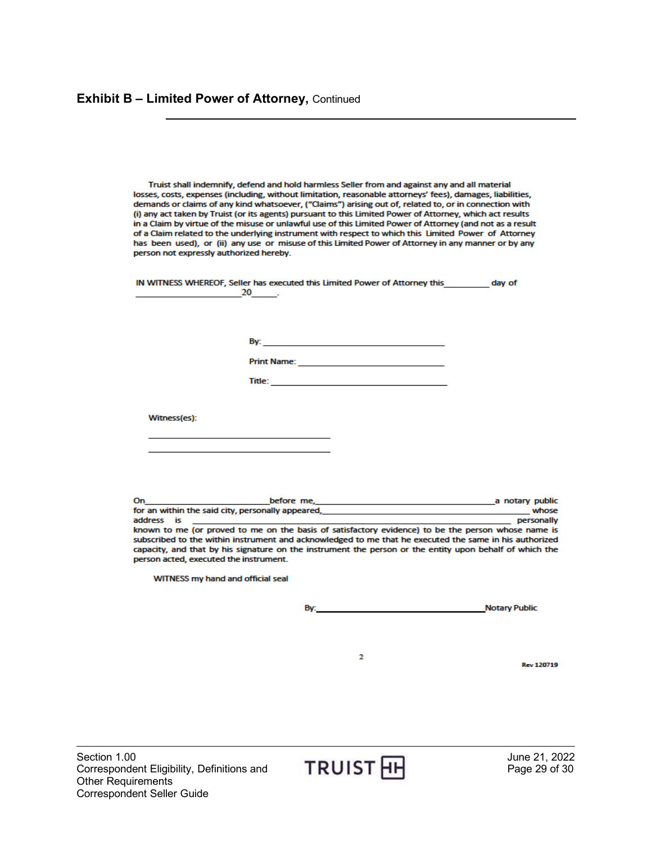Truist shall indemnify, defend and hold harmless Seller from and against any and all material losses, costs, expenses (including, without limitation, reasonable attorneys' fees), damages, liabilities, demands or claims of any kind whatsoever, ("Claims") arising out of, related to, or in connection with (i) any act taken by Truist (or its agents) pursuant to this Limited Power of Attorney, which act results in a Claim by virtue of the misuse or unlawful use of this Limited Power of Attorney (and not as a result of a Claim related to the underlying instrument with respect to which this Limited Power of Attorney has been used), or (ii) any use or misuse of this Limited Power of Attorney in any manner or by any person not expressly authorized hereby.

IN WITNESS WHEREOF, Seller has executed this Limited Power of Attorney this \_\_\_\_\_\_\_\_\_ day of  $20$ 

By: The contract of the contract of the contract of the contract of the contract of the contract of the contract of the contract of the contract of the contract of the contract of the contract of the contract of the contra

 $Title:$ 

Witness(es):

On before me. \_\_\_\_\_\_\_\_\_\_\_\_\_a notary public for an within the said city, personally appeared, \_ whose address is personally known to me (or proved to me on the basis of satisfactory evidence) to be the person whose name is subscribed to the within instrument and acknowledged to me that he executed the same in his authorized capacity, and that by his signature on the instrument the person or the entity upon behalf of which the person acted, executed the instrument.

WITNESS my hand and official seal

**Notary Public Contract Contract Contract Contract Contract Contract Contract Contract Contract Contract Contract Contract Contract Contract Contract Contract Contract Contract Contract Contract Contract Contract Contract** By:

 $\overline{\mathbf{2}}$ 



**Rev 120719**